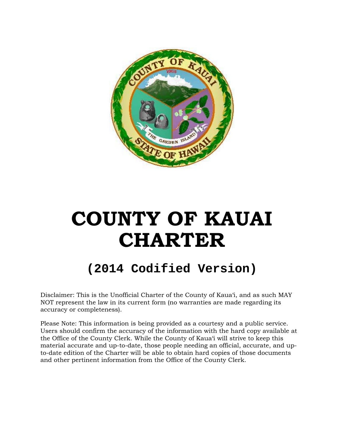

# **COUNTY OF KAUAI CHARTER**

# **(2014 Codified Version)**

Disclaimer: This is the Unofficial Charter of the County of Kaua'i, and as such MAY NOT represent the law in its current form (no warranties are made regarding its accuracy or completeness).

Please Note: This information is being provided as a courtesy and a public service. Users should confirm the accuracy of the information with the hard copy available at the Office of the County Clerk. While the County of Kaua'i will strive to keep this material accurate and up-to-date, those people needing an official, accurate, and upto-date edition of the Charter will be able to obtain hard copies of those documents and other pertinent information from the Office of the County Clerk.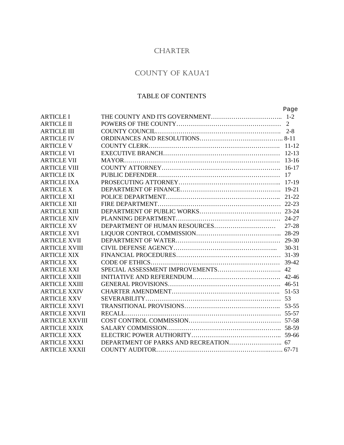## CHARTER

# COUNTY OF KAUA'I

### TABLE OF CONTENTS

|                       | Page      |
|-----------------------|-----------|
| <b>ARTICLE I</b>      |           |
| <b>ARTICLE II</b>     |           |
| <b>ARTICLE III</b>    |           |
| <b>ARTICLE IV</b>     |           |
| <b>ARTICLE V</b>      |           |
| <b>ARTICLE VI</b>     |           |
| <b>ARTICLE VII</b>    |           |
| <b>ARTICLE VIII</b>   |           |
| <b>ARTICLE IX</b>     |           |
| <b>ARTICLE IXA</b>    |           |
| <b>ARTICLE X</b>      |           |
| <b>ARTICLE XI</b>     |           |
| <b>ARTICLE XII</b>    |           |
| <b>ARTICLE XIII</b>   |           |
| <b>ARTICLE XIV</b>    |           |
| <b>ARTICLE XV</b>     |           |
| <b>ARTICLE XVI</b>    |           |
| <b>ARTICLE XVII</b>   |           |
| <b>ARTICLE XVIII</b>  | $30 - 31$ |
| <b>ARTICLE XIX</b>    |           |
| <b>ARTICLE XX</b>     |           |
| <b>ARTICLE XXI</b>    |           |
| <b>ARTICLE XXII</b>   |           |
| <b>ARTICLE XXIII</b>  |           |
| <b>ARTICLE XXIV</b>   |           |
| <b>ARTICLE XXV</b>    |           |
| <b>ARTICLE XXVI</b>   |           |
| <b>ARTICLE XXVII</b>  |           |
| <b>ARTICLE XXVIII</b> |           |
| <b>ARTICLE XXIX</b>   |           |
| <b>ARTICLE XXX</b>    |           |
| <b>ARTICLE XXXI</b>   |           |
| <b>ARTICLE XXXII</b>  |           |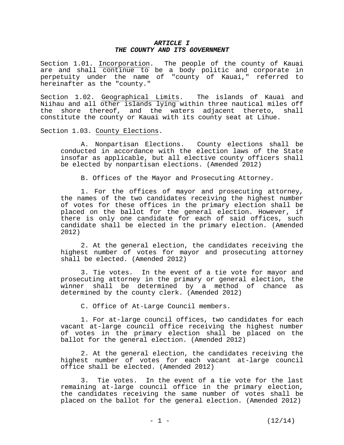#### *ARTICLE I THE COUNTY AND ITS GOVERNMENT*

Section 1.01. Incorporation. The people of the county of Kauai are and shall continue to be a body politic and corporate in perpetuity under the name of "county of Kauai," referred to hereinafter as the "county."

Section 1.02. Geographical Limits. The islands of Kauai and Niihau and all other islands lying within three nautical miles off the shore thereof, and the waters adjacent thereto, shall constitute the county or Kauai with its county seat at Lihue.

Section 1.03. County Elections.

 A. Nonpartisan Elections. County elections shall be conducted in accordance with the election laws of the State insofar as applicable, but all elective county officers shall be elected by nonpartisan elections. (Amended 2012)

B. Offices of the Mayor and Prosecuting Attorney.

 1. For the offices of mayor and prosecuting attorney, the names of the two candidates receiving the highest number of votes for these offices in the primary election shall be placed on the ballot for the general election. However, if there is only one candidate for each of said offices, such candidate shall be elected in the primary election. (Amended 2012)

 2. At the general election, the candidates receiving the highest number of votes for mayor and prosecuting attorney shall be elected. (Amended 2012)

 3. Tie votes. In the event of a tie vote for mayor and prosecuting attorney in the primary or general election, the winner shall be determined by a method of chance as determined by the county clerk. (Amended 2012)

C. Office of At-Large Council members.

 1. For at-large council offices, two candidates for each vacant at-large council office receiving the highest number of votes in the primary election shall be placed on the ballot for the general election. (Amended 2012)

 2. At the general election, the candidates receiving the highest number of votes for each vacant at-large council office shall be elected. (Amended 2012)

 3. Tie votes. In the event of a tie vote for the last remaining at-large council office in the primary election, the candidates receiving the same number of votes shall be placed on the ballot for the general election. (Amended 2012)

 $-1$   $-$  (12/14)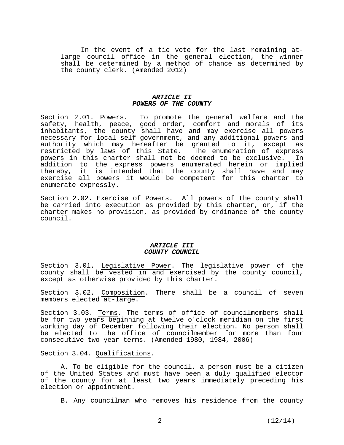In the event of a tie vote for the last remaining atlarge council office in the general election, the winner shall be determined by a method of chance as determined by the county clerk. (Amended 2012)

#### *ARTICLE II POWERS OF THE COUNTY*

Section 2.01. Powers. To promote the general welfare and the safety, health, peace, good order, comfort and morals of its inhabitants, the county shall have and may exercise all powers necessary for local self-government, and any additional powers and authority which may hereafter be granted to it, except as restricted by laws of this State. The enumeration of express powers in this charter shall not be deemed to be exclusive. In addition to the express powers enumerated herein or implied thereby, it is intended that the county shall have and may exercise all powers it would be competent for this charter to enumerate expressly.

Section 2.02. Exercise of Powers. All powers of the county shall be carried into execution as provided by this charter, or, if the charter makes no provision, as provided by ordinance of the county council.

#### *ARTICLE III COUNTY COUNCIL*

Section 3.01. Legislative Power. The legislative power of the county shall be vested in and exercised by the county council, except as otherwise provided by this charter.

Section 3.02. Composition. There shall be a council of seven members elected at-large.

Section 3.03. Terms. The terms of office of councilmembers shall be for two years beginning at twelve o'clock meridian on the first working day of December following their election. No person shall be elected to the office of councilmember for more than four consecutive two year terms. (Amended 1980, 1984, 2006)

Section 3.04. Qualifications.

 A. To be eligible for the council, a person must be a citizen of the United States and must have been a duly qualified elector of the county for at least two years immediately preceding his election or appointment.

B. Any councilman who removes his residence from the county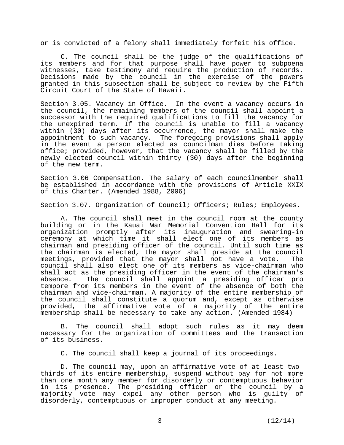or is convicted of a felony shall immediately forfeit his office.

 C. The council shall be the judge of the qualifications of its members and for that purpose shall have power to subpoena witnesses, take testimony and require the production of records. Decisions made by the council in the exercise of the powers granted in this subsection shall be subject to review by the Fifth Circuit Court of the State of Hawaii.

Section 3.05. Vacancy in Office. In the event a vacancy occurs in the council, the remaining members of the council shall appoint a successor with the required qualifications to fill the vacancy for the unexpired term. If the council is unable to fill a vacancy within (30) days after its occurrence, the mayor shall make the appointment to such vacancy. The foregoing provisions shall apply in the event a person elected as councilman dies before taking office; provided, however, that the vacancy shall be filled by the newly elected council within thirty (30) days after the beginning of the new term.

Section 3.06 Compensation. The salary of each councilmember shall be established in accordance with the provisions of Article XXIX of this Charter. (Amended 1988, 2006)

Section 3.07. Organization of Council; Officers; Rules; Employees.

 A. The council shall meet in the council room at the county building or in the Kauai War Memorial Convention Hall for its organization promptly after its inauguration and swearing-in ceremony at which time it shall elect one of its members as chairman and presiding officer of the council. Until such time as the chairman is elected, the mayor shall preside at the council meetings, provided that the mayor shall not have a vote. The council shall also elect one of its members as vice-chairman who shall act as the presiding officer in the event of the chairman's absence. The council shall appoint a presiding officer pro tempore from its members in the event of the absence of both the chairman and vice-chairman. A majority of the entire membership of the council shall constitute a quorum and, except as otherwise provided, the affirmative vote of a majority of the entire membership shall be necessary to take any action. (Amended 1984)

 B. The council shall adopt such rules as it may deem necessary for the organization of committees and the transaction of its business.

C. The council shall keep a journal of its proceedings.

 D. The council may, upon an affirmative vote of at least twothirds of its entire membership, suspend without pay for not more than one month any member for disorderly or contemptuous behavior in its presence. The presiding officer or the council by a majority vote may expel any other person who is guilty of disorderly, contemptuous or improper conduct at any meeting.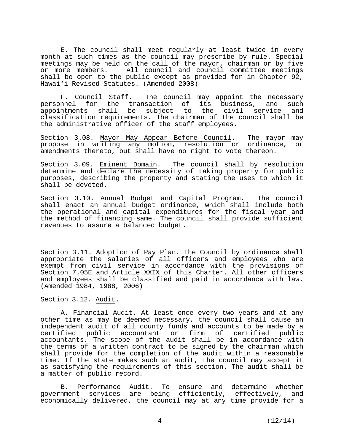E. The council shall meet regularly at least twice in every month at such times as the council may prescribe by rule. Special meetings may be held on the call of the mayor, chairman or by five or more members. All council and council committee meetings shall be open to the public except as provided for in Chapter  $92$ , Hawai'i Revised Statutes. (Amended 2008)

 F. Council Staff. The council may appoint the necessary personnel for the transaction of its business, and such appointments shall be subject to the civil service and classification requirements. The chairman of the council shall be the administrative officer of the staff employees.

Section 3.08. Mayor May Appear Before Council. The mayor may propose in writing any motion, resolution or ordinance, or amendments thereto, but shall have no right to vote thereon.

Section 3.09. Eminent Domain. The council shall by resolution determine and declare the necessity of taking property for public purposes, describing the property and stating the uses to which it shall be devoted.

Section 3.10. Annual Budget and Capital Program. The council shall enact an annual budget ordinance, which shall include both the operational and capital expenditures for the fiscal year and the method of financing same. The council shall provide sufficient revenues to assure a balanced budget.

Section 3.11. Adoption of Pay Plan. The Council by ordinance shall appropriate the salaries of all officers and employees who are exempt from civil service in accordance with the provisions of Section 7.05E and Article XXIX of this Charter. All other officers and employees shall be classified and paid in accordance with law. (Amended 1984, 1988, 2006)

Section 3.12. Audit.

 A. Financial Audit. At least once every two years and at any other time as may be deemed necessary, the council shall cause an independent audit of all county funds and accounts to be made by a certified public accountant or firm of certified public accountants. The scope of the audit shall be in accordance with the terms of a written contract to be signed by the chairman which shall provide for the completion of the audit within a reasonable time. If the state makes such an audit, the council may accept it as satisfying the requirements of this section. The audit shall be a matter of public record.

 B. Performance Audit. To ensure and determine whether government services are being efficiently, effectively, and economically delivered, the council may at any time provide for a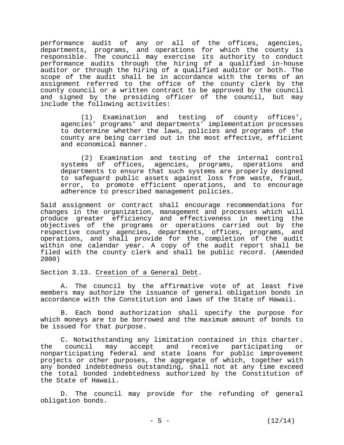performance audit of any or all of the offices, agencies, departments, programs, and operations for which the county is responsible. The council may exercise its authority to conduct performance audits through the hiring of a qualified in-house auditor or through the hiring of a qualified auditor or both. The scope of the audit shall be in accordance with the terms of an assignment referred to the office of the county clerk by the county council or a written contract to be approved by the council and signed by the presiding officer of the council, but may include the following activities:

 (1) Examination and testing of county offices', agencies' programs' and departments' implementation processes to determine whether the laws, policies and programs of the county are being carried out in the most effective, efficient and economical manner.

 (2) Examination and testing of the internal control systems of offices, agencies, programs, operations and departments to ensure that such systems are properly designed to safeguard public assets against loss from waste, fraud, error, to promote efficient operations, and to encourage adherence to prescribed management policies.

Said assignment or contract shall encourage recommendations for changes in the organization, management and processes which will produce greater efficiency and effectiveness in meeting the objectives of the programs or operations carried out by the respective county agencies, departments, offices, programs, and operations, and shall provide for the completion of the audit within one calendar year. A copy of the audit report shall be filed with the county clerk and shall be public record. (Amended 2000)

Section 3.13. Creation of a General Debt.

 A. The council by the affirmative vote of at least five members may authorize the issuance of general obligation bonds in accordance with the Constitution and laws of the State of Hawaii.

 B. Each bond authorization shall specify the purpose for which moneys are to be borrowed and the maximum amount of bonds to be issued for that purpose.

 C. Notwithstanding any limitation contained in this charter. the council may accept and receive participating or nonparticipating federal and state loans for public improvement projects or other purposes, the aggregate of which, together with any bonded indebtedness outstanding, shall not at any time exceed the total bonded indebtedness authorized by the Constitution of the State of Hawaii.

 D. The council may provide for the refunding of general obligation bonds.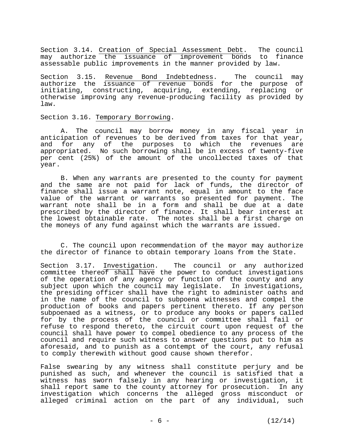Section 3.14. Creation of Special Assessment Debt. The council may authorize the issuance of improvement bonds to finance assessable public improvements in the manner provided by law.

Section 3.15. Revenue Bond Indebtedness. The council may authorize the issuance of revenue bonds for the purpose of initiating, constructing, acquiring, extending, replacing or otherwise improving any revenue-producing facility as provided by law.

Section 3.16. Temporary Borrowing.

 A. The council may borrow money in any fiscal year in anticipation of revenues to be derived from taxes for that year, and for any of the purposes to which the revenues are appropriated. No such borrowing shall be in excess of twenty-five per cent (25%) of the amount of the uncollected taxes of that year.

 B. When any warrants are presented to the county for payment and the same are not paid for lack of funds, the director of finance shall issue a warrant note, equal in amount to the face value of the warrant or warrants so presented for payment. The warrant note shall be in a form and shall be due at a date prescribed by the director of finance. It shall bear interest at the lowest obtainable rate. The notes shall be a first charge on the moneys of any fund against which the warrants are issued.

 C. The council upon recommendation of the mayor may authorize the director of finance to obtain temporary loans from the State.

Section 3.17. Investigation. The council or any authorized committee thereof shall have the power to conduct investigations of the operation of any agency or function of the county and any subject upon which the council may legislate. In investigations, the presiding officer shall have the right to administer oaths and in the name of the council to subpoena witnesses and compel the production of books and papers pertinent thereto. If any person subpoenaed as a witness, or to produce any books or papers called for by the process of the council or committee shall fail or refuse to respond thereto, the circuit court upon request of the council shall have power to compel obedience to any process of the council and require such witness to answer questions put to him as aforesaid, and to punish as a contempt of the court, any refusal to comply therewith without good cause shown therefor.

False swearing by any witness shall constitute perjury and be punished as such, and whenever the council is satisfied that a witness has sworn falsely in any hearing or investigation, it shall report same to the county attorney for prosecution. In any investigation which concerns the alleged gross misconduct or alleged criminal action on the part of any individual, such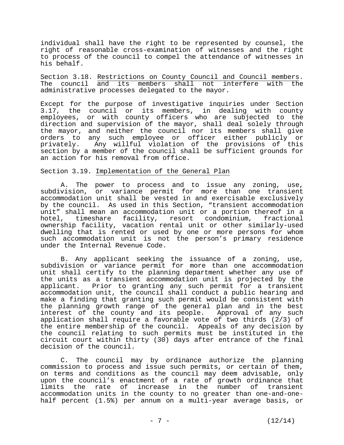individual shall have the right to be represented by counsel, the right of reasonable cross-examination of witnesses and the right to process of the council to compel the attendance of witnesses in his behalf.

Section 3.18. Restrictions on County Council and Council members. The council and its members shall not interfere with the administrative processes delegated to the mayor.

Except for the purpose of investigative inquiries under Section 3.17, the council or its members, in dealing with county employees, or with county officers who are subjected to the direction and supervision of the mayor, shall deal solely through the mayor, and neither the council nor its members shall give orders to any such employee or officer either publicly or privately. Any willful violation of the provisions of this section by a member of the council shall be sufficient grounds for an action for his removal from office.

#### Section 3.19. Implementation of the General Plan

 A. The power to process and to issue any zoning, use, subdivision, or variance permit for more than one transient accommodation unit shall be vested in and exercisable exclusively by the council. As used in this Section, "transient accommodation unit" shall mean an accommodation unit or a portion thereof in a hotel, timeshare facility, resort condominium, fractional ownership facility, vacation rental unit or other similarly-used dwelling that is rented or used by one or more persons for whom such accommodation unit is not the person's primary residence under the Internal Revenue Code.

 B. Any applicant seeking the issuance of a zoning, use, subdivision or variance permit for more than one accommodation unit shall certify to the planning department whether any use of the units as a transient accommodation unit is projected by the applicant. Prior to granting any such permit for a transient accommodation unit, the council shall conduct a public hearing and make a finding that granting such permit would be consistent with the planning growth range of the general plan and in the best interest of the county and its people. Approval of any such application shall require a favorable vote of two thirds (2/3) of the entire membership of the council. Appeals of any decision by the council relating to such permits must be instituted in the circuit court within thirty (30) days after entrance of the final decision of the council.

 C. The council may by ordinance authorize the planning commission to process and issue such permits, or certain of them, on terms and conditions as the council may deem advisable, only upon the council's enactment of a rate of growth ordinance that limits the rate of increase in the number of transient accommodation units in the county to no greater than one-and-onehalf percent (1.5%) per annum on a multi-year average basis, or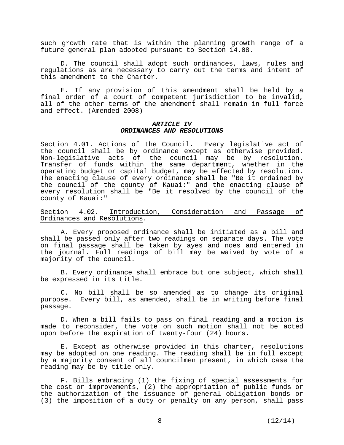such growth rate that is within the planning growth range of a future general plan adopted pursuant to Section 14.08.

 D. The council shall adopt such ordinances, laws, rules and regulations as are necessary to carry out the terms and intent of this amendment to the Charter.

 E. If any provision of this amendment shall be held by a final order of a court of competent jurisdiction to be invalid, all of the other terms of the amendment shall remain in full force and effect. (Amended 2008)

#### *ARTICLE IV ORDINANCES AND RESOLUTIONS*

Section 4.01. Actions of the Council. Every legislative act of the council shall be by ordinance except as otherwise provided. Non-legislative acts of the council may be by resolution. Transfer of funds within the same department, whether in the operating budget or capital budget, may be effected by resolution. The enacting clause of every ordinance shall be "Be it ordained by the council of the county of Kauai:" and the enacting clause of every resolution shall be "Be it resolved by the council of the county of Kauai:"

Section 4.02. Introduction, Consideration and Passage of Ordinances and Resolutions.

 A. Every proposed ordinance shall be initiated as a bill and shall be passed only after two readings on separate days. The vote on final passage shall be taken by ayes and noes and entered in the journal. Full readings of bill may be waived by vote of a majority of the council.

 B. Every ordinance shall embrace but one subject, which shall be expressed in its title.

 C. No bill shall be so amended as to change its original purpose. Every bill, as amended, shall be in writing before final passage.

 D. When a bill fails to pass on final reading and a motion is made to reconsider, the vote on such motion shall not be acted upon before the expiration of twenty-four (24) hours.

 E. Except as otherwise provided in this charter, resolutions may be adopted on one reading. The reading shall be in full except by a majority consent of all councilmen present, in which case the reading may be by title only.

 F. Bills embracing (1) the fixing of special assessments for the cost or improvements, (2) the appropriation of public funds or the authorization of the issuance of general obligation bonds or (3) the imposition of a duty or penalty on any person, shall pass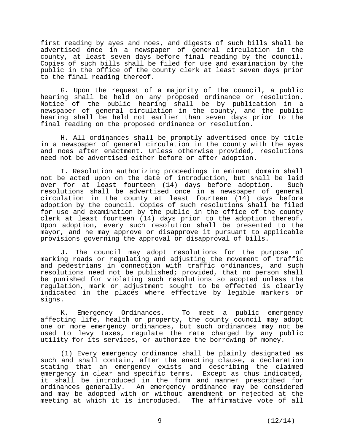first reading by ayes and noes, and digests of such bills shall be advertised once in a newspaper of general circulation in the county, at least seven days before final reading by the council. Copies of such bills shall be filed for use and examination by the public in the office of the county clerk at least seven days prior to the final reading thereof.

 G. Upon the request of a majority of the council, a public hearing shall be held on any proposed ordinance or resolution. Notice of the public hearing shall be by publication in a newspaper of general circulation in the county, and the public hearing shall be held not earlier than seven days prior to the final reading on the proposed ordinance or resolution.

 H. All ordinances shall be promptly advertised once by title in a newspaper of general circulation in the county with the ayes and noes after enactment. Unless otherwise provided, resolutions need not be advertised either before or after adoption.

 I. Resolution authorizing proceedings in eminent domain shall not be acted upon on the date of introduction, but shall be laid over for at least fourteen (14) days before adoption. Such resolutions shall be advertised once in a newspaper of general circulation in the county at least fourteen  $(14)$  days before adoption by the council. Copies of such resolutions shall be filed for use and examination by the public in the office of the county clerk at least fourteen (14) days prior to the adoption thereof. Upon adoption, every such resolution shall be presented to the mayor, and he may approve or disapprove it pursuant to applicable provisions governing the approval or disapproval of bills.

 J. The council may adopt resolutions for the purpose of marking roads or regulating and adjusting the movement of traffic and pedestrians in connection with traffic ordinances, and such resolutions need not be published; provided, that no person shall be punished for violating such resolutions so adopted unless the regulation, mark or adjustment sought to be effected is clearly indicated in the places where effective by legible markers or signs.

 K. Emergency Ordinances. To meet a public emergency affecting life, health or property, the county council may adopt one or more emergency ordinances, but such ordinances may not be used to levy taxes, regulate the rate charged by any public utility for its services, or authorize the borrowing of money.

 (1) Every emergency ordinance shall be plainly designated as such and shall contain, after the enacting clause, a declaration stating that an emergency exists and describing the claimed emergency in clear and specific terms. Except as thus indicated, it shall be introduced in the form and manner prescribed for ordinances generally. An emergency ordinance may be considered and may be adopted with or without amendment or rejected at the meeting at which it is introduced. The affirmative vote of all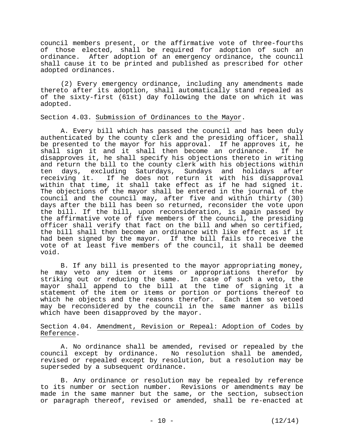council members present, or the affirmative vote of three-fourths of those elected, shall be required for adoption of such an ordinance. After adoption of an emergency ordinance, the council shall cause it to be printed and published as prescribed for other adopted ordinances.

 (2) Every emergency ordinance, including any amendments made thereto after its adoption, shall automatically stand repealed as of the sixty-first (61st) day following the date on which it was adopted.

#### Section 4.03. Submission of Ordinances to the Mayor.

 A. Every bill which has passed the council and has been duly authenticated by the county clerk and the presiding officer, shall be presented to the mayor for his approval. If he approves it, he shall sign it and it shall then become an ordinance. If he disapproves it, he shall specify his objections thereto in writing and return the bill to the county clerk with his objections within ten days, excluding Saturdays, Sundays and holidays after receiving it. If he does not return it with his disapproval within that time, it shall take effect as if he had signed it. The objections of the mayor shall be entered in the journal of the council and the council may, after five and within thirty (30) days after the bill has been so returned, reconsider the vote upon the bill. If the bill, upon reconsideration, is again passed by the affirmative vote of five members of the council, the presiding officer shall verify that fact on the bill and when so certified, the bill shall then become an ordinance with like effect as if it had been signed by the mayor. If the bill fails to receive the vote of at least five members of the council, it shall be deemed void.

 B. If any bill is presented to the mayor appropriating money, he may veto any item or items or appropriations therefor by striking out or reducing the same. In case of such a veto, the mayor shall append to the bill at the time of signing it a statement of the item or items or portion or portions thereof to which he objects and the reasons therefor. Each item so vetoed may be reconsidered by the council in the same manner as bills which have been disapproved by the mayor.

#### Section 4.04. Amendment, Revision or Repeal: Adoption of Codes by Reference.

 A. No ordinance shall be amended, revised or repealed by the council except by ordinance. No resolution shall be amended, revised or repealed except by resolution, but a resolution may be superseded by a subsequent ordinance.

 B. Any ordinance or resolution may be repealed by reference to its number or section number. Revisions or amendments may be made in the same manner but the same, or the section, subsection or paragraph thereof, revised or amended, shall be re-enacted at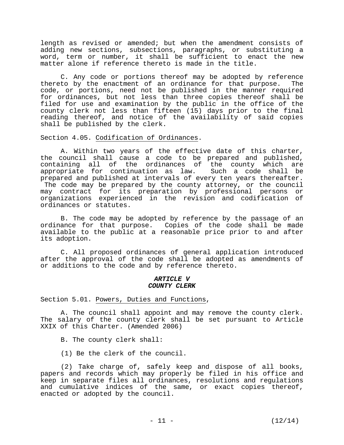length as revised or amended; but when the amendment consists of adding new sections, subsections, paragraphs, or substituting a word, term or number, it shall be sufficient to enact the new matter alone if reference thereto is made in the title.

 C. Any code or portions thereof may be adopted by reference thereto by the enactment of an ordinance for that purpose. The code, or portions, need not be published in the manner required for ordinances, but not less than three copies thereof shall be filed for use and examination by the public in the office of the county clerk not less than fifteen (15) days prior to the final reading thereof, and notice of the availability of said copies shall be published by the clerk.

Section 4.05. Codification of Ordinances.

 A. Within two years of the effective date of this charter, the council shall cause a code to be prepared and published, containing all of the ordinances of the county which are appropriate for continuation as law. Such a code shall be prepared and published at intervals of every ten years thereafter. The code may be prepared by the county attorney, or the council may contract for its preparation by professional persons or organizations experienced in the revision and codification of ordinances or statutes.

 B. The code may be adopted by reference by the passage of an ordinance for that purpose. Copies of the code shall be made available to the public at a reasonable price prior to and after its adoption.

 C. All proposed ordinances of general application introduced after the approval of the code shall be adopted as amendments of or additions to the code and by reference thereto.

#### *ARTICLE V COUNTY CLERK*

Section 5.01. Powers, Duties and Functions,

 A. The council shall appoint and may remove the county clerk. The salary of the county clerk shall be set pursuant to Article XXIX of this Charter. (Amended 2006)

B. The county clerk shall:

(1) Be the clerk of the council.

 (2) Take charge of, safely keep and dispose of all books, papers and records which may properly be filed in his office and keep in separate files all ordinances, resolutions and regulations and cumulative indices of the same, or exact copies thereof, enacted or adopted by the council.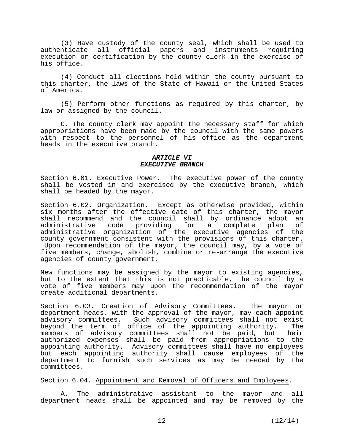(3) Have custody of the county seal, which shall be used to authenticate all official papers and instruments requiring execution or certification by the county clerk in the exercise of his office.

 (4) Conduct all elections held within the county pursuant to this charter, the laws of the State of Hawaii or the United States of America.

 (5) Perform other functions as required by this charter, by law or assigned by the council.

 C. The county clerk may appoint the necessary staff for which appropriations have been made by the council with the same powers with respect to the personnel of his office as the department heads in the executive branch.

#### *ARTICLE VI EXECUTIVE BRANCH*

Section 6.01. Executive Power. The executive power of the county shall be vested in and exercised by the executive branch, which shall be headed by the mayor.

Section 6.02. Organization. Except as otherwise provided, within six months after the effective date of this charter, the mayor shall recommend and the council shall by ordinance adopt an administrative code providing for a complete plan of administrative code providing for a complete plan of administrative organization of the executive agencies of the county government consistent with the provisions of this charter. Upon recommendation of the mayor, the council may, by a vote of five members, change, abolish, combine or re-arrange the executive agencies of county government.

New functions may be assigned by the mayor to existing agencies, but to the extent that this is not practicable, the council by a vote of five members may upon the recommendation of the mayor create additional departments.

Section 6.03. Creation of Advisory Committees. The mayor or department heads, with the approval of the mayor, may each appoint advisory committees. Such advisory committees shall not exist beyond the term of office of the appointing authority. The members of advisory committees shall not be paid, but their authorized expenses shall be paid from appropriations to the appointing authority. Advisory committees shall have no employees but each appointing authority shall cause employees of the department to furnish such services as may be needed by the committees.

Section 6.04. Appointment and Removal of Officers and Employees.

 A. The administrative assistant to the mayor and all department heads shall be appointed and may be removed by the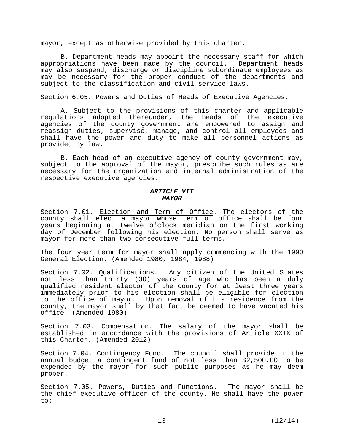mayor, except as otherwise provided by this charter.

 B. Department heads may appoint the necessary staff for which appropriations have been made by the council. Department heads may also suspend, discharge or discipline subordinate employees as may be necessary for the proper conduct of the departments and subject to the classification and civil service laws.

#### Section 6.05. Powers and Duties of Heads of Executive Agencies.

 A. Subject to the provisions of this charter and applicable regulations adopted thereunder, the heads of the executive agencies of the county government are empowered to assign and reassign duties, supervise, manage, and control all employees and shall have the power and duty to make all personnel actions as provided by law.

 B. Each head of an executive agency of county government may, subject to the approval of the mayor, prescribe such rules as are necessary for the organization and internal administration of the respective executive agencies.

#### *ARTICLE VII MAYOR*

Section 7.01. Election and Term of Office. The electors of the county shall elect a mayor whose term of office shall be four years beginning at twelve o'clock meridian on the first working day of December following his election. No person shall serve as mayor for more than two consecutive full terms.

The four year term for mayor shall apply commencing with the 1990 General Election. (Amended 1980, 1984, 1988)

Section 7.02. Qualifications. Any citizen of the United States not less than thirty (30) years of age who has been a duly qualified resident elector of the county for at least three years immediately prior to his election shall be eligible for election to the office of mayor. Upon removal of his residence from the county, the mayor shall by that fact be deemed to have vacated his office. (Amended 1980)

Section 7.03. Compensation. The salary of the mayor shall be established in accordance with the provisions of Article XXIX of this Charter. (Amended 2012)

Section 7.04. Contingency Fund. The council shall provide in the annual budget a contingent fund of not less than \$2,500.00 to be expended by the mayor for such public purposes as he may deem proper.

Section 7.05. Powers, Duties and Functions. The mayor shall be the chief executive officer of the county. He shall have the power to: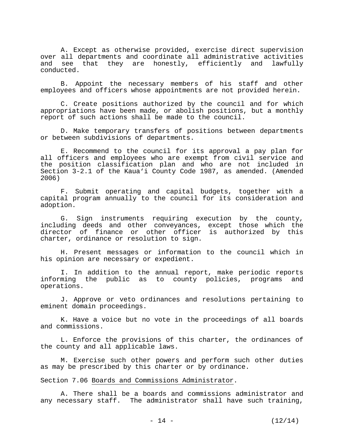A. Except as otherwise provided, exercise direct supervision over all departments and coordinate all administrative activities and see that they are honestly, efficiently and lawfully conducted.

 B. Appoint the necessary members of his staff and other employees and officers whose appointments are not provided herein.

 C. Create positions authorized by the council and for which appropriations have been made, or abolish positions, but a monthly report of such actions shall be made to the council.

 D. Make temporary transfers of positions between departments or between subdivisions of departments.

 E. Recommend to the council for its approval a pay plan for all officers and employees who are exempt from civil service and the position classification plan and who are not included in Section 3-2.1 of the Kaua'i County Code 1987, as amended. (Amended 2006)

 F. Submit operating and capital budgets, together with a capital program annually to the council for its consideration and adoption.

 G. Sign instruments requiring execution by the county, including deeds and other conveyances, except those which the director of finance or other officer is authorized by this charter, ordinance or resolution to sign.

 H. Present messages or information to the council which in his opinion are necessary or expedient.

 I. In addition to the annual report, make periodic reports informing the public as to county policies, programs and operations.

 J. Approve or veto ordinances and resolutions pertaining to eminent domain proceedings.

 K. Have a voice but no vote in the proceedings of all boards and commissions.

 L. Enforce the provisions of this charter, the ordinances of the county and all applicable laws.

 M. Exercise such other powers and perform such other duties as may be prescribed by this charter or by ordinance.

#### Section 7.06 Boards and Commissions Administrator.

 A. There shall be a boards and commissions administrator and any necessary staff. The administrator shall have such training,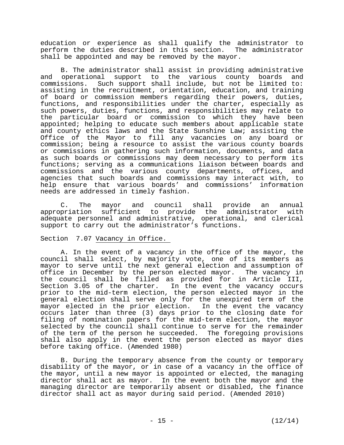education or experience as shall qualify the administrator to perform the duties described in this section. The administrator shall be appointed and may be removed by the mayor.

 B. The administrator shall assist in providing administrative and operational support to the various county boards and commissions. Such support shall include, but not be limited to: assisting in the recruitment, orientation, education, and training of board or commission members regarding their powers, duties, functions, and responsibilities under the charter, especially as such powers, duties, functions, and responsibilities may relate to the particular board or commission to which they have been appointed; helping to educate such members about applicable state and county ethics laws and the State Sunshine Law; assisting the Office of the Mayor to fill any vacancies on any board or commission; being a resource to assist the various county boards or commissions in gathering such information, documents, and data as such boards or commissions may deem necessary to perform its functions; serving as a communications liaison between boards and commissions and the various county departments, offices, and agencies that such boards and commissions may interact with, to help ensure that various boards' and commissions' information needs are addressed in timely fashion.

 C. The mayor and council shall provide an annual appropriation sufficient to provide the administrator with adequate personnel and administrative, operational, and clerical support to carry out the administrator's functions.

#### Section 7.07 Vacancy in Office.

 A. In the event of a vacancy in the office of the mayor, the council shall select, by majority vote, one of its members as mayor to serve until the next general election and assumption of office in December by the person elected mayor. The vacancy in the council shall be filled as provided for in Article III, Section 3.05 of the charter. In the event the vacancy occurs prior to the mid-term election, the person elected mayor in the general election shall serve only for the unexpired term of the mayor elected in the prior election. In the event the vacancy occurs later than three (3) days prior to the closing date for filing of nomination papers for the mid-term election, the mayor selected by the council shall continue to serve for the remainder of the term of the person he succeeded. The foregoing provisions shall also apply in the event the person elected as mayor dies before taking office. (Amended 1980)

 B. During the temporary absence from the county or temporary disability of the mayor, or in case of a vacancy in the office of the mayor, until a new mayor is appointed or elected, the managing director shall act as mayor. In the event both the mayor and the managing director are temporarily absent or disabled, the finance director shall act as mayor during said period. (Amended 2010)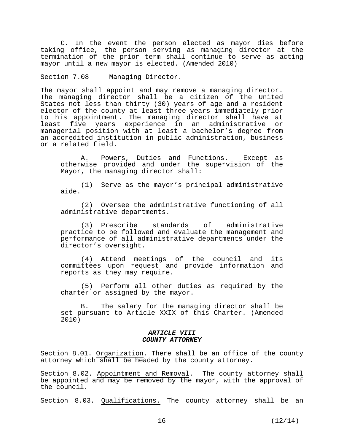C. In the event the person elected as mayor dies before taking office, the person serving as managing director at the termination of the prior term shall continue to serve as acting mayor until a new mayor is elected. (Amended 2010)

Section 7.08 Managing Director.

The mayor shall appoint and may remove a managing director. The managing director shall be a citizen of the United States not less than thirty (30) years of age and a resident elector of the county at least three years immediately prior to his appointment. The managing director shall have at least five years experience in an administrative or managerial position with at least a bachelor's degree from an accredited institution in public administration, business or a related field.

 A. Powers, Duties and Functions. Except as otherwise provided and under the supervision of the Mayor, the managing director shall:

(1) Serve as the mayor's principal administrative aide.

 (2) Oversee the administrative functioning of all administrative departments.

(3) Prescribe standards of administrative practice to be followed and evaluate the management and performance of all administrative departments under the director's oversight.

(4) Attend meetings of the council and its committees upon request and provide information and reports as they may require.

 (5) Perform all other duties as required by the charter or assigned by the mayor.

B. The salary for the managing director shall be set pursuant to Article XXIX of this Charter. (Amended 2010)

#### *ARTICLE VIII COUNTY ATTORNEY*

Section 8.01. Organization. There shall be an office of the county attorney which shall be headed by the county attorney.

Section 8.02. Appointment and Removal. The county attorney shall be appointed and may be removed by the mayor, with the approval of the council.

Section 8.03. Qualifications. The county attorney shall be an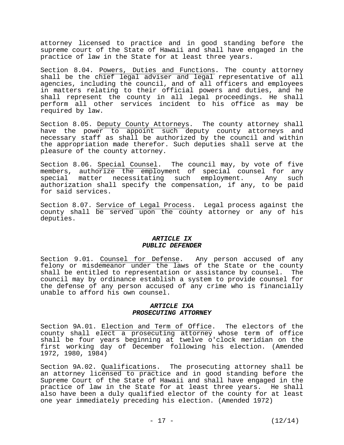attorney licensed to practice and in good standing before the supreme court of the State of Hawaii and shall have engaged in the practice of law in the State for at least three years.

Section 8.04. Powers, Duties and Functions. The county attorney shall be the chief legal adviser and legal representative of all agencies, including the council, and of all officers and employees in matters relating to their official powers and duties, and he shall represent the county in all legal proceedings. He shall perform all other services incident to his office as may be required by law.

Section 8.05. Deputy County Attorneys. The county attorney shall have the power to appoint such deputy county attorneys and necessary staff as shall be authorized by the council and within the appropriation made therefor. Such deputies shall serve at the pleasure of the county attorney.

Section 8.06. Special Counsel. The council may, by vote of five members, authorize the employment of special counsel for any<br>special matter necessitating such employment. Any such special matter necessitating such authorization shall specify the compensation, if any, to be paid for said services.

Section 8.07. Service of Legal Process. Legal process against the county shall be served upon the county attorney or any of his deputies.

#### *ARTICLE IX PUBLIC DEFENDER*

Section 9.01. Counsel for Defense. Any person accused of any felony or misdemeanor under the laws of the State or the county shall be entitled to representation or assistance by counsel. The council may by ordinance establish a system to provide counsel for the defense of any person accused of any crime who is financially unable to afford his own counsel.

#### *ARTICLE IXA PROSECUTING ATTORNEY*

Section 9A.01. Election and Term of Office. The electors of the county shall elect a prosecuting attorney whose term of office shall be four years beginning at twelve o'clock meridian on the first working day of December following his election. (Amended 1972, 1980, 1984)

Section 9A.02. Qualifications. The prosecuting attorney shall be an attorney licensed to practice and in good standing before the Supreme Court of the State of Hawaii and shall have engaged in the practice of law in the State for at least three years. He shall also have been a duly qualified elector of the county for at least one year immediately preceding his election. (Amended 1972)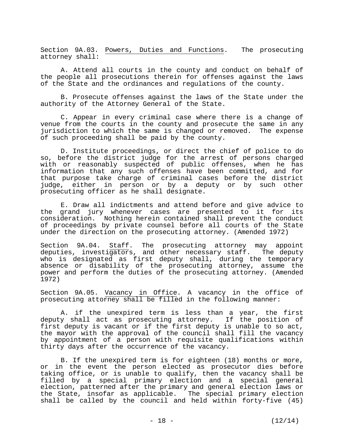Section 9A.03. Powers, Duties and Functions. The prosecuting attorney shall:

 A. Attend all courts in the county and conduct on behalf of the people all prosecutions therein for offenses against the laws of the State and the ordinances and regulations of the county.

 B. Prosecute offenses against the laws of the State under the authority of the Attorney General of the State.

 C. Appear in every criminal case where there is a change of venue from the courts in the county and prosecute the same in any jurisdiction to which the same is changed or removed. The expense of such proceeding shall be paid by the county.

 D. Institute proceedings, or direct the chief of police to do so, before the district judge for the arrest of persons charged with or reasonably suspected of public offenses, when he has information that any such offenses have been committed, and for that purpose take charge of criminal cases before the district judge, either in person or by a deputy or by such other prosecuting officer as he shall designate.

 E. Draw all indictments and attend before and give advice to the grand jury whenever cases are presented to it for its consideration. Nothing herein contained shall prevent the conduct of proceedings by private counsel before all courts of the State under the direction on the prosecuting attorney. (Amended 1972)

Section 9A.04. Staff. The prosecuting attorney may appoint deputies, investigators, and other necessary staff. The deputy who is designated as first deputy shall, during the temporary absence or disability of the prosecuting attorney, assume the power and perform the duties of the prosecuting attorney. (Amended 1972)

Section 9A.05. Vacancy in Office. A vacancy in the office of prosecuting attorney shall be filled in the following manner:

 A. if the unexpired term is less than a year, the first deputy shall act as prosecuting attorney. If the position of first deputy is vacant or if the first deputy is unable to so act, the mayor with the approval of the council shall fill the vacancy by appointment of a person with requisite qualifications within thirty days after the occurrence of the vacancy.

 B. If the unexpired term is for eighteen (18) months or more, or in the event the person elected as prosecutor dies before taking office, or is unable to qualify, then the vacancy shall be filled by a special primary election and a special general election, patterned after the primary and general election laws or the State, insofar as applicable. The special primary election shall be called by the council and held within forty-five (45)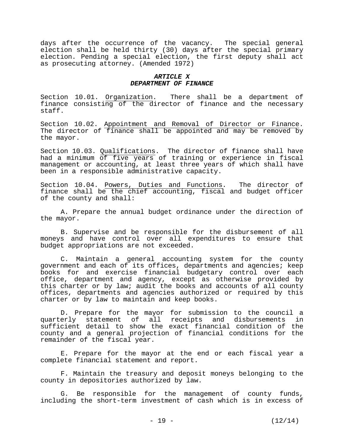days after the occurrence of the vacancy. The special general election shall be held thirty (30) days after the special primary election. Pending a special election, the first deputy shall act as prosecuting attorney. (Amended 1972)

#### *ARTICLE X DEPARTMENT OF FINANCE*

Section 10.01. Organization. There shall be a department of finance consisting of the director of finance and the necessary staff.

Section 10.02. Appointment and Removal of Director or Finance. The director of finance shall be appointed and may be removed by the mayor.

Section 10.03. Qualifications. The director of finance shall have had a minimum of five years of training or experience in fiscal management or accounting, at least three years of which shall have been in a responsible administrative capacity.

Section 10.04. Powers, Duties and Functions. The director of finance shall be the chief accounting, fiscal and budget officer of the county and shall:

 A. Prepare the annual budget ordinance under the direction of the mayor.

 B. Supervise and be responsible for the disbursement of all moneys and have control over all expenditures to ensure that budget appropriations are not exceeded.

 C. Maintain a general accounting system for the county government and each of its offices, departments and agencies; keep books for and exercise financial budgetary control over each office, department and agency, except as otherwise provided by this charter or by law; audit the books and accounts of all county offices, departments and agencies authorized or required by this charter or by law to maintain and keep books.

 D. Prepare for the mayor for submission to the council a quarterly statement of all receipts and disbursements in sufficient detail to show the exact financial condition of the county and a general projection of financial conditions for the remainder of the fiscal year.

 E. Prepare for the mayor at the end or each fiscal year a complete financial statement and report.

 F. Maintain the treasury and deposit moneys belonging to the county in depositories authorized by law.

 G. Be responsible for the management of county funds, including the short-term investment of cash which is in excess of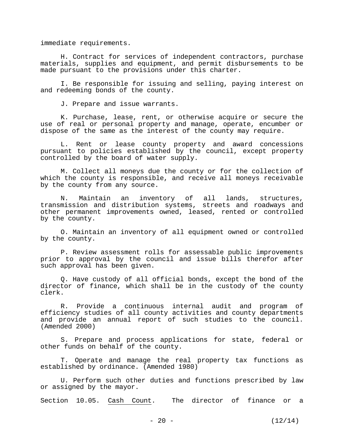immediate requirements.

 H. Contract for services of independent contractors, purchase materials, supplies and equipment, and permit disbursements to be made pursuant to the provisions under this charter.

 I. Be responsible for issuing and selling, paying interest on and redeeming bonds of the county.

J. Prepare and issue warrants.

 K. Purchase, lease, rent, or otherwise acquire or secure the use of real or personal property and manage, operate, encumber or dispose of the same as the interest of the county may require.

 L. Rent or lease county property and award concessions pursuant to policies established by the council, except property controlled by the board of water supply.

 M. Collect all moneys due the county or for the collection of which the county is responsible, and receive all moneys receivable by the county from any source.

 N. Maintain an inventory of all lands, structures, transmission and distribution systems, streets and roadways and other permanent improvements owned, leased, rented or controlled by the county.

 O. Maintain an inventory of all equipment owned or controlled by the county.

 P. Review assessment rolls for assessable public improvements prior to approval by the council and issue bills therefor after such approval has been given.

 Q. Have custody of all official bonds, except the bond of the director of finance, which shall be in the custody of the county clerk.

 R. Provide a continuous internal audit and program of efficiency studies of all county activities and county departments and provide an annual report of such studies to the council. (Amended 2000)

 S. Prepare and process applications for state, federal or other funds on behalf of the county.

 T. Operate and manage the real property tax functions as established by ordinance. (Amended 1980)

 U. Perform such other duties and functions prescribed by law or assigned by the mayor.

Section 10.05. Cash Count. The director of finance or a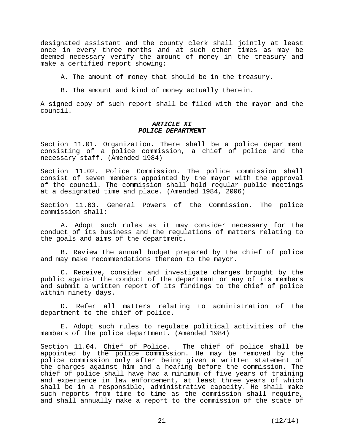designated assistant and the county clerk shall jointly at least once in every three months and at such other times as may be deemed necessary verify the amount of money in the treasury and make a certified report showing:

A. The amount of money that should be in the treasury.

B. The amount and kind of money actually therein.

A signed copy of such report shall be filed with the mayor and the council.

#### *ARTICLE XI POLICE DEPARTMENT*

Section 11.01. Organization. There shall be a police department consisting of a police commission, a chief of police and the necessary staff. (Amended 1984)

Section 11.02. Police Commission. The police commission shall consist of seven members appointed by the mayor with the approval of the council. The commission shall hold regular public meetings at a designated time and place. (Amended 1984, 2006)

Section 11.03. General Powers of the Commission. The police commission shall:

 A. Adopt such rules as it may consider necessary for the conduct of its business and the regulations of matters relating to the goals and aims of the department.

 B. Review the annual budget prepared by the chief of police and may make recommendations thereon to the mayor.

 C. Receive, consider and investigate charges brought by the public against the conduct of the department or any of its members and submit a written report of its findings to the chief of police within ninety days.

 D. Refer all matters relating to administration of the department to the chief of police.

 E. Adopt such rules to regulate political activities of the members of the police department. (Amended 1984)

Section 11.04. Chief of Police. The chief of police shall be appointed by the police commission. He may be removed by the police commission only after being given a written statement of the charges against him and a hearing before the commission. The chief of police shall have had a minimum of five years of training and experience in law enforcement, at least three years of which shall be in a responsible, administrative capacity. He shall make such reports from time to time as the commission shall require, and shall annually make a report to the commission of the state of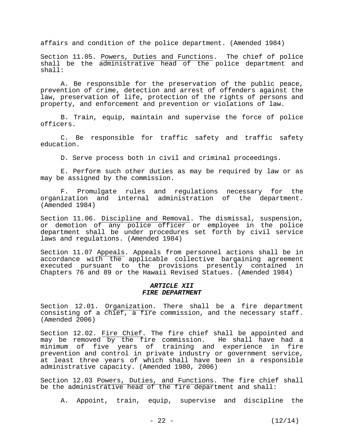affairs and condition of the police department. (Amended 1984)

Section 11.05. Powers, Duties and Functions. The chief of police shall be the administrative head of the police department and shall:

 A. Be responsible for the preservation of the public peace, prevention of crime, detection and arrest of offenders against the law, preservation of life, protection of the rights of persons and property, and enforcement and prevention or violations of law.

 B. Train, equip, maintain and supervise the force of police officers.

 C. Be responsible for traffic safety and traffic safety education.

D. Serve process both in civil and criminal proceedings.

 E. Perform such other duties as may be required by law or as may be assigned by the commission.

 F. Promulgate rules and regulations necessary for the organization and internal administration of the department. (Amended 1984)

Section 11.06. Discipline and Removal. The dismissal, suspension, or demotion of any police officer or employee in the police department shall be under procedures set forth by civil service laws and regulations. (Amended 1984)

Section 11.07 Appeals. Appeals from personnel actions shall be in accordance with the applicable collective bargaining agreement executed pursuant to the provisions presently contained in Chapters 76 and 89 or the Hawaii Revised Statues. (Amended 1984)

#### *ARTICLE XII FIRE DEPARTMENT*

Section 12.01. Organization. There shall be a fire department consisting of a chief, a fire commission, and the necessary staff. (Amended 2006)

Section 12.02. Fire Chief. The fire chief shall be appointed and may be removed by the fire commission. He shall have had a may be removed by the fire commission. minimum of five years of training and experience in fire prevention and control in private industry or government service, at least three years of which shall have been in a responsible administrative capacity. (Amended 1980, 2006)

Section 12.03 Powers, Duties, and Functions. The fire chief shall be the administrative head of the fire department and shall:

A. Appoint, train, equip, supervise and discipline the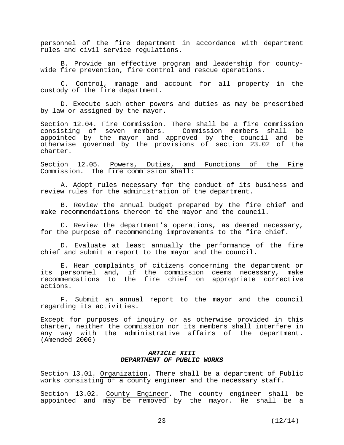personnel of the fire department in accordance with department rules and civil service regulations.

 B. Provide an effective program and leadership for countywide fire prevention, fire control and rescue operations.

 C. Control, manage and account for all property in the custody of the fire department.

 D. Execute such other powers and duties as may be prescribed by law or assigned by the mayor.

Section 12.04. Fire Commission. There shall be a fire commission consisting of seven members. Commission members shall be appointed by the mayor and approved by the council and be otherwise governed by the provisions of section 23.02 of the charter.

Section 12.05. Powers, Duties, and Functions of the Fire Commission. The fire commission shall:

 A. Adopt rules necessary for the conduct of its business and review rules for the administration of the department.

 B. Review the annual budget prepared by the fire chief and make recommendations thereon to the mayor and the council.

 C. Review the department's operations, as deemed necessary, for the purpose of recommending improvements to the fire chief.

 D. Evaluate at least annually the performance of the fire chief and submit a report to the mayor and the council.

 E. Hear complaints of citizens concerning the department or its personnel and, if the commission deems necessary, make recommendations to the fire chief on appropriate corrective actions.

 F. Submit an annual report to the mayor and the council regarding its activities.

Except for purposes of inquiry or as otherwise provided in this charter, neither the commission nor its members shall interfere in any way with the administrative affairs of the department. (Amended 2006)

#### *ARTICLE XIII DEPARTMENT OF PUBLIC WORKS*

Section 13.01. Organization. There shall be a department of Public works consisting of a county engineer and the necessary staff.

Section 13.02. County Engineer. The county engineer shall be appointed and may be removed by the mayor. He shall be a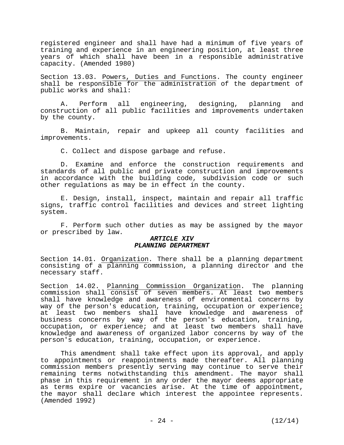registered engineer and shall have had a minimum of five years of training and experience in an engineering position, at least three years of which shall have been in a responsible administrative capacity. (Amended 1980)

Section 13.03. Powers, Duties and Functions. The county engineer shall be responsible for the administration of the department of public works and shall:

 A. Perform all engineering, designing, planning and construction of all public facilities and improvements undertaken by the county.

 B. Maintain, repair and upkeep all county facilities and improvements.

C. Collect and dispose garbage and refuse.

 D. Examine and enforce the construction requirements and standards of all public and private construction and improvements in accordance with the building code, subdivision code or such other regulations as may be in effect in the county.

 E. Design, install, inspect, maintain and repair all traffic signs, traffic control facilities and devices and street lighting system.

 F. Perform such other duties as may be assigned by the mayor or prescribed by law.

#### *ARTICLE XIV PLANNING DEPARTMENT*

Section 14.01. Organization. There shall be a planning department consisting of a planning commission, a planning director and the necessary staff.

Section 14.02. Planning Commission Organization. The planning commission shall consist of seven members. At least two members shall have knowledge and awareness of environmental concerns by way of the person's education, training, occupation or experience; at least two members shall have knowledge and awareness of business concerns by way of the person's education, training, occupation, or experience; and at least two members shall have knowledge and awareness of organized labor concerns by way of the person's education, training, occupation, or experience.

 This amendment shall take effect upon its approval, and apply to appointments or reappointments made thereafter. All planning commission members presently serving may continue to serve their remaining terms notwithstanding this amendment. The mayor shall phase in this requirement in any order the mayor deems appropriate as terms expire or vacancies arise. At the time of appointment, the mayor shall declare which interest the appointee represents. (Amended 1992)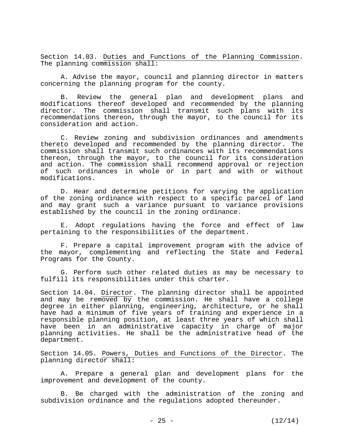Section 14.03. Duties and Functions of the Planning Commission. The planning commission shall:

 A. Advise the mayor, council and planning director in matters concerning the planning program for the county.

 B. Review the general plan and development plans and modifications thereof developed and recommended by the planning director. The commission shall transmit such plans with its recommendations thereon, through the mayor, to the council for its consideration and action.

 C. Review zoning and subdivision ordinances and amendments thereto developed and recommended by the planning director. The commission shall transmit such ordinances with its recommendations thereon, through the mayor, to the council for its consideration and action. The commission shall recommend approval or rejection of such ordinances in whole or in part and with or without modifications.

 D. Hear and determine petitions for varying the application of the zoning ordinance with respect to a specific parcel of land and may grant such a variance pursuant to variance provisions established by the council in the zoning ordinance.

 E. Adopt regulations having the force and effect of law pertaining to the responsibilities of the department.

 F. Prepare a capital improvement program with the advice of the mayor, complementing and reflecting the State and Federal Programs for the County.

 G. Perform such other related duties as may be necessary to fulfill its responsibilities under this charter.

Section 14.04. Director. The planning director shall be appointed and may be removed by the commission. He shall have a college degree in either planning, engineering, architecture, or he shall have had a minimum of five years of training and experience in a responsible planning position, at least three years of which shall have been in an administrative capacity in charge of major planning activities. He shall be the administrative head of the department.

Section 14.05. Powers, Duties and Functions of the Director. The planning director shall:

 A. Prepare a general plan and development plans for the improvement and development of the county.

 B. Be charged with the administration of the zoning and subdivision ordinance and the regulations adopted thereunder.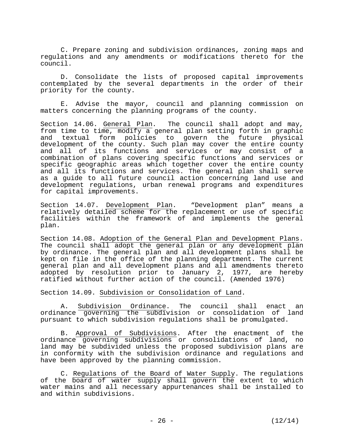C. Prepare zoning and subdivision ordinances, zoning maps and regulations and any amendments or modifications thereto for the council.

 D. Consolidate the lists of proposed capital improvements contemplated by the several departments in the order of their priority for the county.

 E. Advise the mayor, council and planning commission on matters concerning the planning programs of the county.

Section 14.06. General Plan. The council shall adopt and may, from time to time, modify a general plan setting forth in graphic and textual form policies to govern the future physical development of the county. Such plan may cover the entire county and all of its functions and services or may consist of a combination of plans covering specific functions and services or specific geographic areas which together cover the entire county and all its functions and services. The general plan shall serve as a guide to all future council action concerning land use and development regulations, urban renewal programs and expenditures for capital improvements.

Section 14.07. Development Plan. "Development plan" means a relatively detailed scheme for the replacement or use of specific facilities within the framework of and implements the general plan.

Section 14.08. Adoption of the General Plan and Development Plans. The council shall adopt the general plan or any development plan by ordinance. The general plan and all development plans shall be kept on file in the office of the planning department. The current general plan and all development plans and all amendments thereto adopted by resolution prior to January 2, 1977, are hereby ratified without further action of the council. (Amended 1976)

Section 14.09. Subdivision or Consolidation of Land.

 A. Subdivision Ordinance. The council shall enact an ordinance governing the subdivision or consolidation of land pursuant to which subdivision regulations shall be promulgated.

 B. Approval of Subdivisions. After the enactment of the ordinance governing subdivisions or consolidations of land, no land may be subdivided unless the proposed subdivision plans are in conformity with the subdivision ordinance and regulations and have been approved by the planning commission.

 C. Regulations of the Board of Water Supply. The regulations of the board of water supply shall govern the extent to which water mains and all necessary appurtenances shall be installed to and within subdivisions.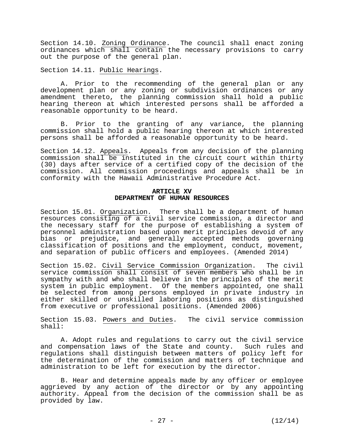Section 14.10. Zoning Ordinance. The council shall enact zoning ordinances which shall contain the necessary provisions to carry out the purpose of the general plan.

Section 14.11. Public Hearings.

 A. Prior to the recommending of the general plan or any development plan or any zoning or subdivision ordinances or any amendment thereto, the planning commission shall hold a public hearing thereon at which interested persons shall be afforded a reasonable opportunity to be heard.

 B. Prior to the granting of any variance, the planning commission shall hold a public hearing thereon at which interested persons shall be afforded a reasonable opportunity to be heard.

Section 14.12. Appeals. Appeals from any decision of the planning commission shall be instituted in the circuit court within thirty (30) days after service of a certified copy of the decision of the commission. All commission proceedings and appeals shall be in conformity with the Hawaii Administrative Procedure Act.

#### **ARTICLE XV DEPARTMENT OF HUMAN RESOURCES**

Section 15.01. Organization. There shall be a department of human resources consisting of a civil service commission, a director and the necessary staff for the purpose of establishing a system of personnel administration based upon merit principles devoid of any bias or prejudice, and generally accepted methods governing classification of positions and the employment, conduct, movement, and separation of public officers and employees. (Amended 2014)

Section 15.02. Civil Service Commission Organization. The civil service commission shall consist of seven members who shall be in sympathy with and who shall believe in the principles of the merit system in public employment. Of the members appointed, one shall be selected from among persons employed in private industry in either skilled or unskilled laboring positions as distinguished from executive or professional positions. (Amended 2006)

Section 15.03. Powers and Duties. The civil service commission shall:

 A. Adopt rules and regulations to carry out the civil service and compensation laws of the State and county. Such rules and regulations shall distinguish between matters of policy left for the determination of the commission and matters of technique and administration to be left for execution by the director.

 B. Hear and determine appeals made by any officer or employee aggrieved by any action of the director or by any appointing authority. Appeal from the decision of the commission shall be as provided by law.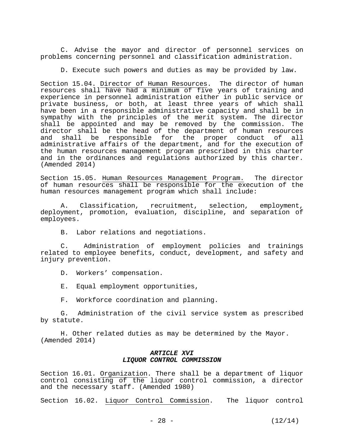C. Advise the mayor and director of personnel services on problems concerning personnel and classification administration.

D. Execute such powers and duties as may be provided by law.

Section 15.04. Director of Human Resources. The director of human resources shall have had a minimum of five years of training and experience in personnel administration either in public service or private business, or both, at least three years of which shall have been in a responsible administrative capacity and shall be in sympathy with the principles of the merit system. The director shall be appointed and may be removed by the commission. The director shall be the head of the department of human resources and shall be responsible for the proper conduct of all administrative affairs of the department, and for the execution of the human resources management program prescribed in this charter and in the ordinances and regulations authorized by this charter. (Amended 2014)

Section 15.05. Human Resources Management Program. The director of human resources shall be responsible for the execution of the human resources management program which shall include:

 A. Classification, recruitment, selection, employment, deployment, promotion, evaluation, discipline, and separation of employees.

B. Labor relations and negotiations.

 C. Administration of employment policies and trainings related to employee benefits, conduct, development, and safety and injury prevention.

D. Workers' compensation.

E. Equal employment opportunities,

F. Workforce coordination and planning.

 G. Administration of the civil service system as prescribed by statute.

H. Other related duties as may be determined by the Mayor. (Amended 2014)

#### *ARTICLE XVI LIQUOR CONTROL COMMISSION*

Section 16.01. Organization. There shall be a department of liquor control consisting of the liquor control commission, a director and the necessary staff. (Amended 1980)

Section 16.02. Liquor Control Commission. The liquor control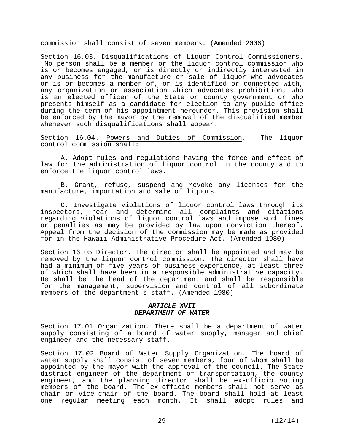commission shall consist of seven members. (Amended 2006)

Section 16.03. Disqualifications of Liquor Control Commissioners. No person shall be a member or the liquor control commission who is or becomes engaged, or is directly or indirectly interested in any business for the manufacture or sale of liquor who advocates or is or becomes a member of, or is identified or connected with, any organization or association which advocates prohibition; who is an elected officer of the State or county government or who presents himself as a candidate for election to any public office during the term of his appointment hereunder. This provision shall be enforced by the mayor by the removal of the disqualified member whenever such disqualifications shall appear.

Section 16.04. Powers and Duties of Commission. The liquor control commission shall:

 A. Adopt rules and regulations having the force and effect of law for the administration of liquor control in the county and to enforce the liquor control laws.

 B. Grant, refuse, suspend and revoke any licenses for the manufacture, importation and sale of liquors.

 C. Investigate violations of liquor control laws through its inspectors, hear and determine all complaints and citations regarding violations of liquor control laws and impose such fines or penalties as may be provided by law upon conviction thereof. Appeal from the decision of the commission may be made as provided for in the Hawaii Administrative Procedure Act. (Amended 1980)

Section 16.05 Director. The director shall be appointed and may be removed by the liquor control commission. The director shall have had a minimum of five years of business experience, at least three of which shall have been in a responsible administrative capacity. He shall be the head of the department and shall be responsible for the management, supervision and control of all subordinate members of the department's staff. (Amended 1980)

#### *ARTICLE XVII DEPARTMENT OF WATER*

Section 17.01 Organization. There shall be a department of water supply consisting of a board of water supply, manager and chief engineer and the necessary staff.

Section 17.02 Board of Water Supply Organization. The board of water supply shall consist of seven members, four of whom shall be appointed by the mayor with the approval of the council. The State district engineer of the department of transportation, the county engineer, and the planning director shall be ex-officio voting members of the board. The ex-officio members shall not serve as chair or vice-chair of the board. The board shall hold at least one regular meeting each month. It shall adopt rules and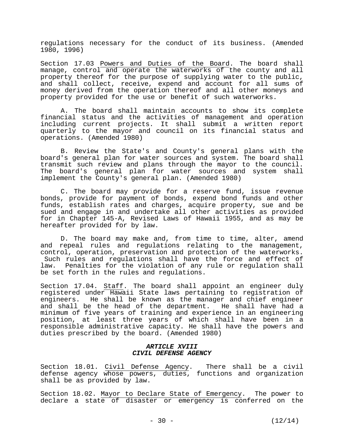regulations necessary for the conduct of its business. (Amended 1980, 1996)

Section 17.03 Powers and Duties of the Board. The board shall manage, control and operate the waterworks of the county and all property thereof for the purpose of supplying water to the public, and shall collect, receive, expend and account for all sums of money derived from the operation thereof and all other moneys and property provided for the use or benefit of such waterworks.

 A. The board shall maintain accounts to show its complete financial status and the activities of management and operation including current projects. It shall submit a written report quarterly to the mayor and council on its financial status and operations. (Amended 1980)

 B. Review the State's and County's general plans with the board's general plan for water sources and system. The board shall transmit such review and plans through the mayor to the council. The board's general plan for water sources and system shall implement the County's general plan. (Amended 1980)

 C. The board may provide for a reserve fund, issue revenue bonds, provide for payment of bonds, expend bond funds and other funds, establish rates and charges, acquire property, sue and be sued and engage in and undertake all other activities as provided for in Chapter 145-A, Revised Laws of Hawaii 1955, and as may be hereafter provided for by law.

 D. The board may make and, from time to time, alter, amend and repeal rules and regulations relating to the management, control, operation, preservation and protection of the waterworks. Such rules and regulations shall have the force and effect of law. Penalties for the violation of any rule or regulation shall be set forth in the rules and regulations.

Section 17.04. Staff. The board shall appoint an engineer duly registered under Hawaii State laws pertaining to registration of engineers. He shall be known as the manager and chief engineer and shall be the head of the department. He shall have had a minimum of five years of training and experience in an engineering position, at least three years of which shall have been in a responsible administrative capacity. He shall have the powers and duties prescribed by the board. (Amended 1980)

#### *ARTICLE XVIII CIVIL DEFENSE AGENCY*

Section 18.01. Civil Defense Agency. There shall be a civil defense agency whose powers, duties, functions and organization shall be as provided by law.

Section 18.02. Mayor to Declare State of Emergency. The power to declare a state of disaster or emergency is conferred on the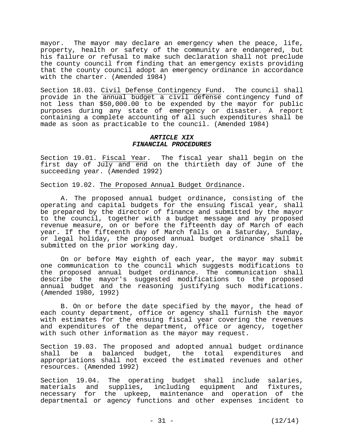mayor. The mayor may declare an emergency when the peace, life, property, health or safety of the community are endangered, but his failure or refusal to make such declaration shall not preclude the county council from finding that an emergency exists providing that the county council adopt an emergency ordinance in accordance with the charter. (Amended 1984)

Section 18.03. Civil Defense Contingency Fund. The council shall provide in the annual budget a civil defense contingency fund of not less than \$50,000.00 to be expended by the mayor for public purposes during any state of emergency or disaster. A report containing a complete accounting of all such expenditures shall be made as soon as practicable to the council. (Amended 1984)

#### *ARTICLE XIX FINANCIAL PROCEDURES*

Section 19.01. Fiscal Year. The fiscal year shall begin on the first day of July and end on the thirtieth day of June of the succeeding year. (Amended 1992)

Section 19.02. The Proposed Annual Budget Ordinance.

 A. The proposed annual budget ordinance, consisting of the operating and capital budgets for the ensuing fiscal year, shall be prepared by the director of finance and submitted by the mayor to the council, together with a budget message and any proposed revenue measure, on or before the fifteenth day of March of each year. If the fifteenth day of March falls on a Saturday, Sunday, or legal holiday, the proposed annual budget ordinance shall be submitted on the prior working day.

 On or before May eighth of each year, the mayor may submit one communication to the council which suggests modifications to the proposed annual budget ordinance. The communication shall describe the mayor's suggested modifications to the proposed annual budget and the reasoning justifying such modifications. (Amended 1980, 1992)

 B. On or before the date specified by the mayor, the head of each county department, office or agency shall furnish the mayor with estimates for the ensuing fiscal year covering the revenues and expenditures of the department, office or agency, together with such other information as the mayor may request.

Section 19.03. The proposed and adopted annual budget ordinance shall be a balanced budget, the total expenditures and appropriations shall not exceed the estimated revenues and other resources. (Amended 1992)

Section 19.04. The operating budget shall include salaries, materials and supplies, including equipment and fixtures, necessary for the upkeep, maintenance and operation of the departmental or agency functions and other expenses incident to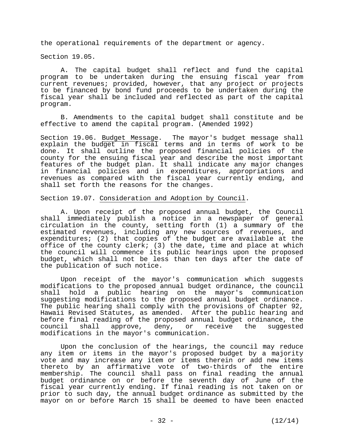the operational requirements of the department or agency.

Section 19.05.

 A. The capital budget shall reflect and fund the capital program to be undertaken during the ensuing fiscal year from current revenues; provided, however, that any project or projects to be financed by bond fund proceeds to be undertaken during the fiscal year shall be included and reflected as part of the capital program.

 B. Amendments to the capital budget shall constitute and be effective to amend the capital program. (Amended 1992)

Section 19.06. Budget Message. The mayor's budget message shall explain the budget in fiscal terms and in terms of work to be done. It shall outline the proposed financial policies of the county for the ensuing fiscal year and describe the most important features of the budget plan. It shall indicate any major changes in financial policies and in expenditures, appropriations and revenues as compared with the fiscal year currently ending, and shall set forth the reasons for the changes.

Section 19.07. Consideration and Adoption by Council.

 A. Upon receipt of the proposed annual budget, the Council shall immediately publish a notice in a newspaper of general circulation in the county, setting forth  $(1)$  a summary of the estimated revenues, including any new sources of revenues, and expenditures; (2) that copies of the budget are available at the office of the county clerk; (3) the date, time and place at which the council will commence its public hearings upon the proposed budget, which shall not be less than ten days after the date of the publication of such notice.

 Upon receipt of the mayor's communication which suggests modifications to the proposed annual budget ordinance, the council shall hold a public hearing on the mayor's communication suggesting modifications to the proposed annual budget ordinance. The public hearing shall comply with the provisions of Chapter 92, Hawaii Revised Statutes, as amended. After the public hearing and before final reading of the proposed annual budget ordinance, the council shall approve, deny, or receive the suggested modifications in the mayor's communication.

 Upon the conclusion of the hearings, the council may reduce any item or items in the mayor's proposed budget by a majority vote and may increase any item or items therein or add new items thereto by an affirmative vote of two-thirds of the entire membership. The council shall pass on final reading the annual budget ordinance on or before the seventh day of June of the fiscal year currently ending. If final reading is not taken on or prior to such day, the annual budget ordinance as submitted by the mayor on or before March 15 shall be deemed to have been enacted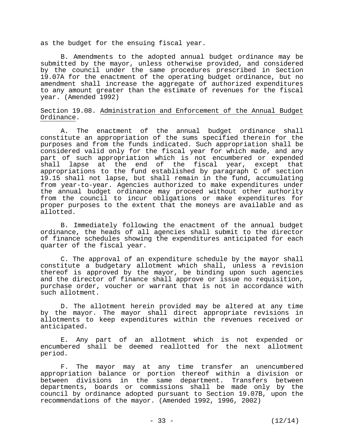as the budget for the ensuing fiscal year.

 B. Amendments to the adopted annual budget ordinance may be submitted by the mayor, unless otherwise provided, and considered by the council under the same procedures prescribed in Section 19.07A for the enactment of the operating budget ordinance, but no amendment shall increase the aggregate of authorized expenditures to any amount greater than the estimate of revenues for the fiscal year. (Amended 1992)

#### Section 19.08. Administration and Enforcement of the Annual Budget Ordinance.

 A. The enactment of the annual budget ordinance shall constitute an appropriation of the sums specified therein for the purposes and from the funds indicated. Such appropriation shall be considered valid only for the fiscal year for which made, and any part of such appropriation which is not encumbered or expended shall lapse at the end of the fiscal year, except that appropriations to the fund established by paragraph C of section 19.15 shall not lapse, but shall remain in the fund, accumulating from year-to-year. Agencies authorized to make expenditures under the annual budget ordinance may proceed without other authority from the council to incur obligations or make expenditures for proper purposes to the extent that the moneys are available and as allotted.

 B. Immediately following the enactment of the annual budget ordinance, the heads of all agencies shall submit to the director of finance schedules showing the expenditures anticipated for each quarter of the fiscal year.

 C. The approval of an expenditure schedule by the mayor shall constitute a budgetary allotment which shall, unless a revision thereof is approved by the mayor, be binding upon such agencies and the director of finance shall approve or issue no requisition, purchase order, voucher or warrant that is not in accordance with such allotment.

 D. The allotment herein provided may be altered at any time by the mayor. The mayor shall direct appropriate revisions in allotments to keep expenditures within the revenues received or anticipated.

 E. Any part of an allotment which is not expended or encumbered shall be deemed reallotted for the next allotment period.

 F. The mayor may at any time transfer an unencumbered appropriation balance or portion thereof within a division or between divisions in the same department. Transfers between departments, boards or commissions shall be made only by the council by ordinance adopted pursuant to Section 19.07B, upon the recommendations of the mayor. (Amended 1992, 1996, 2002)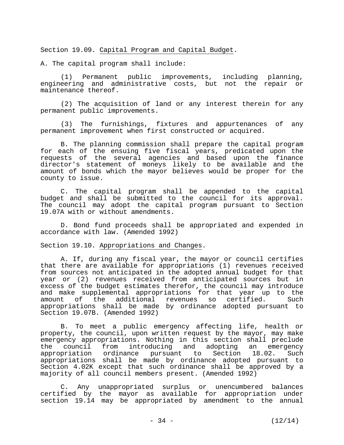Section 19.09. Capital Program and Capital Budget.

A. The capital program shall include:

 (1) Permanent public improvements, including planning, engineering and administrative costs, but not the repair or maintenance thereof.

 (2) The acquisition of land or any interest therein for any permanent public improvements.

 (3) The furnishings, fixtures and appurtenances of any permanent improvement when first constructed or acquired.

 B. The planning commission shall prepare the capital program for each of the ensuing five fiscal years, predicated upon the requests of the several agencies and based upon the finance director's statement of moneys likely to be available and the amount of bonds which the mayor believes would be proper for the county to issue.

 C. The capital program shall be appended to the capital budget and shall be submitted to the council for its approval. The council may adopt the capital program pursuant to Section 19.07A with or without amendments.

 D. Bond fund proceeds shall be appropriated and expended in accordance with law. (Amended 1992)

Section 19.10. Appropriations and Changes.

 A. If, during any fiscal year, the mayor or council certifies that there are available for appropriations (1) revenues received from sources not anticipated in the adopted annual budget for that year or (2) revenues received from anticipated sources but in excess of the budget estimates therefor, the council may introduce and make supplemental appropriations for that year up to the amount of the additional revenues so certified. Such appropriations shall be made by ordinance adopted pursuant to Section 19.07B. (Amended 1992)

 B. To meet a public emergency affecting life, health or property, the council, upon written request by the mayor, may make emergency appropriations. Nothing in this section shall preclude<br>the council from introducing and adopting an emergency the council from introducing and adopting appropriation ordinance pursuant to Section 18.02. Such appropriations shall be made by ordinance adopted pursuant to Section 4.02K except that such ordinance shall be approved by a majority of all council members present. (Amended 1992)

 C. Any unappropriated surplus or unencumbered balances certified by the mayor as available for appropriation under section 19.14 may be appropriated by amendment to the annual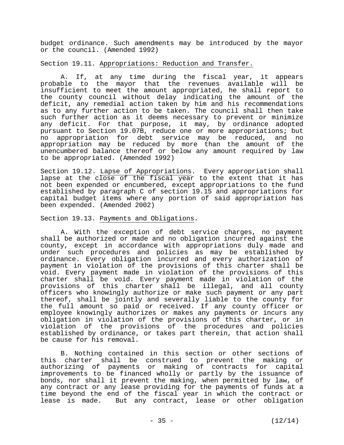budget ordinance. Such amendments may be introduced by the mayor or the council. (Amended 1992)

Section 19.11. Appropriations: Reduction and Transfer.

 A. If, at any time during the fiscal year, it appears probable to the mayor that the revenues available will be insufficient to meet the amount appropriated, he shall report to the county council without delay indicating the amount of the deficit, any remedial action taken by him and his recommendations as to any further action to be taken. The council shall then take such further action as it deems necessary to prevent or minimize any deficit. For that purpose, it may, by ordinance adopted pursuant to Section 19.07B, reduce one or more appropriations; but no appropriation for debt service may be reduced, and no appropriation may be reduced by more than the amount of the unencumbered balance thereof or below any amount required by law to be appropriated. (Amended 1992)

Section 19.12. Lapse of Appropriations. Every appropriation shall lapse at the close of the fiscal year to the extent that it has not been expended or encumbered, except appropriations to the fund established by paragraph C of section 19.15 and appropriations for capital budget items where any portion of said appropriation has been expended. (Amended 2002)

## Section 19.13. Payments and Obligations.

 A. With the exception of debt service charges, no payment shall be authorized or made and no obligation incurred against the county, except in accordance with appropriations duly made and under such procedures and policies as may be established by ordinance. Every obligation incurred and every authorization of payment in violation of the provisions of this charter shall be void. Every payment made in violation of the provisions of this charter shall be void. Every payment made in violation of the provisions of this charter shall be illegal, and all county officers who knowingly authorize or make such payment or any part thereof, shall be jointly and severally liable to the county for the full amount so paid or received. If any county officer or employee knowingly authorizes or makes any payments or incurs any obligation in violation of the provisions of this charter, or in violation of the provisions of the procedures and policies established by ordinance, or takes part therein, that action shall be cause for his removal.

 B. Nothing contained in this section or other sections of this charter shall be construed to prevent the making or authorizing of payments or making of contracts for capital improvements to be financed wholly or partly by the issuance of bonds, nor shall it prevent the making, when permitted by law, of any contract or any lease providing for the payments of funds at a time beyond the end of the fiscal year in which the contract or lease is made. But any contract, lease or other obligation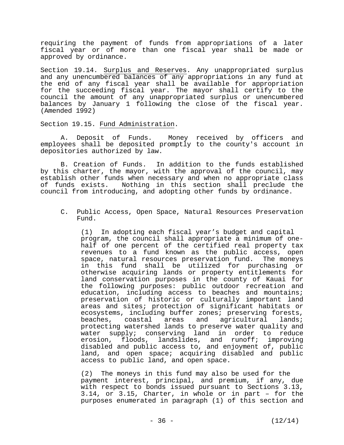requiring the payment of funds from appropriations of a later fiscal year or of more than one fiscal year shall be made or approved by ordinance.

Section 19.14. Surplus and Reserves. Any unappropriated surplus and any unencumbered balances of any appropriations in any fund at the end of any fiscal year shall be available for appropriation for the succeeding fiscal year. The mayor shall certify to the council the amount of any unappropriated surplus or unencumbered balances by January 1 following the close of the fiscal year. (Amended 1992)

Section 19.15. Fund Administration.

 A. Deposit of Funds. Money received by officers and employees shall be deposited promptly to the county's account in depositories authorized by law.

 B. Creation of Funds. In addition to the funds established by this charter, the mayor, with the approval of the council, may establish other funds when necessary and when no appropriate class of funds exists. Nothing in this section shall preclude the council from introducing, and adopting other funds by ordinance.

C. Public Access, Open Space, Natural Resources Preservation Fund.

(1) In adopting each fiscal year's budget and capital program, the council shall appropriate a minimum of onehalf of one percent of the certified real property tax revenues to a fund known as the public access, open space, natural resources preservation fund. The moneys in this fund shall be utilized for purchasing or otherwise acquiring lands or property entitlements for land conservation purposes in the county of Kauai for the following purposes: public outdoor recreation and education, including access to beaches and mountains; preservation of historic or culturally important land areas and sites; protection of significant habitats or ecosystems, including buffer zones; preserving forests, beaches, coastal areas and agricultural lands; protecting watershed lands to preserve water quality and water supply; conserving land in order to reduce erosion, floods, landslides, and runoff; improving disabled and public access to, and enjoyment of, public land, and open space; acquiring disabled and public access to public land, and open space.

(2) The moneys in this fund may also be used for the payment interest, principal, and premium, if any, due with respect to bonds issued pursuant to Sections 3.13, 3.14, or 3.15, Charter, in whole or in part – for the purposes enumerated in paragraph (1) of this section and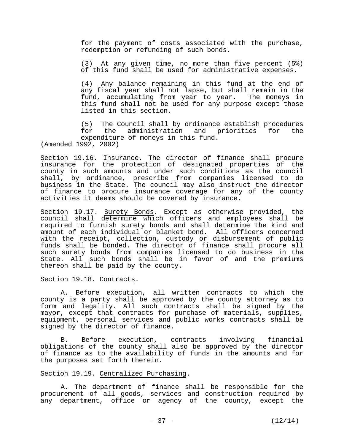for the payment of costs associated with the purchase, redemption or refunding of such bonds.

 (3) At any given time, no more than five percent (5%) of this fund shall be used for administrative expenses.

 (4) Any balance remaining in this fund at the end of any fiscal year shall not lapse, but shall remain in the fund, accumulating from year to year. The moneys in this fund shall not be used for any purpose except those listed in this section.

 (5) The Council shall by ordinance establish procedures for the administration and priorities for the expenditure of moneys in this fund. (Amended 1992, 2002)

Section 19.16. Insurance. The director of finance shall procure insurance for the protection of designated properties of the county in such amounts and under such conditions as the council shall, by ordinance, prescribe from companies licensed to do business in the State. The council may also instruct the director of finance to procure insurance coverage for any of the county activities it deems should be covered by insurance.

Section 19.17. Surety Bonds. Except as otherwise provided, the council shall determine which officers and employees shall be required to furnish surety bonds and shall determine the kind and amount of each individual or blanket bond. All officers concerned with the receipt, collection, custody or disbursement of public funds shall be bonded. The director of finance shall procure all such surety bonds from companies licensed to do business in the State. All such bonds shall be in favor of and the premiums thereon shall be paid by the county.

Section 19.18. Contracts.

 A. Before execution, all written contracts to which the county is a party shall be approved by the county attorney as to form and legality. All such contracts shall be signed by the mayor, except that contracts for purchase of materials, supplies, equipment, personal services and public works contracts shall be signed by the director of finance.

 B. Before execution, contracts involving financial obligations of the county shall also be approved by the director of finance as to the availability of funds in the amounts and for the purposes set forth therein.

### Section 19.19. Centralized Purchasing.

 A. The department of finance shall be responsible for the procurement of all goods, services and construction required by any department, office or agency of the county, except the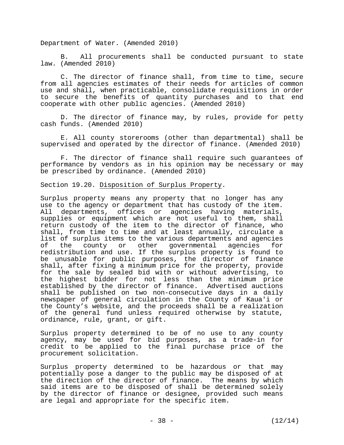Department of Water. (Amended 2010)

 B. All procurements shall be conducted pursuant to state law. (Amended 2010)

 C. The director of finance shall, from time to time, secure from all agencies estimates of their needs for articles of common use and shall, when practicable, consolidate requisitions in order to secure the benefits of quantity purchases and to that end cooperate with other public agencies. (Amended 2010)

 D. The director of finance may, by rules, provide for petty cash funds. (Amended 2010)

 E. All county storerooms (other than departmental) shall be supervised and operated by the director of finance. (Amended 2010)

 F. The director of finance shall require such guarantees of performance by vendors as in his opinion may be necessary or may be prescribed by ordinance. (Amended 2010)

Section 19.20. Disposition of Surplus Property.

Surplus property means any property that no longer has any use to the agency or department that has custody of the item. All departments, offices or agencies having materials, supplies or equipment which are not useful to them, shall return custody of the item to the director of finance, who shall, from time to time and at least annually, circulate a list of surplus items to the various departments and agencies of the county or other governmental agencies for redistribution and use. If the surplus property is found to be unusable for public purposes, the director of finance shall, after fixing a minimum price for the property, provide for the sale by sealed bid with or without advertising, to the highest bidder for not less than the minimum price established by the director of finance. Advertised auctions shall be published on two non-consecutive days in a daily newspaper of general circulation in the County of Kaua'i or the County's website, and the proceeds shall be a realization of the general fund unless required otherwise by statute, ordinance, rule, grant, or gift.

Surplus property determined to be of no use to any county agency, may be used for bid purposes, as a trade-in for credit to be applied to the final purchase price of the procurement solicitation.

Surplus property determined to be hazardous or that may potentially pose a danger to the public may be disposed of at the direction of the director of finance. The means by which said items are to be disposed of shall be determined solely by the director of finance or designee, provided such means are legal and appropriate for the specific item.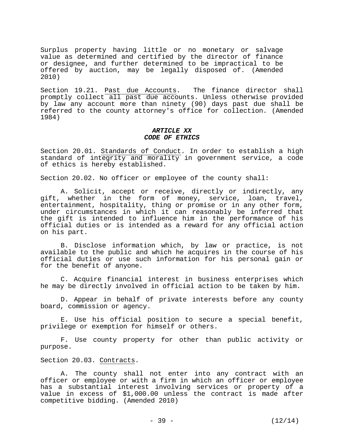Surplus property having little or no monetary or salvage value as determined and certified by the director of finance or designee, and further determined to be impractical to be offered by auction, may be legally disposed of. (Amended 2010)

Section 19.21. Past due Accounts. The finance director shall promptly collect all past due accounts. Unless otherwise provided by law any account more than ninety (90) days past due shall be referred to the county attorney's office for collection. (Amended 1984)

### *ARTICLE XX CODE OF ETHICS*

Section 20.01. Standards of Conduct. In order to establish a high standard of integrity and morality in government service, a code of ethics is hereby established.

Section 20.02. No officer or employee of the county shall:

 A. Solicit, accept or receive, directly or indirectly, any gift, whether in the form of money, service, loan, travel, entertainment, hospitality, thing or promise or in any other form, under circumstances in which it can reasonably be inferred that the gift is intended to influence him in the performance of his official duties or is intended as a reward for any official action on his part.

 B. Disclose information which, by law or practice, is not available to the public and which he acquires in the course of his official duties or use such information for his personal gain or for the benefit of anyone.

 C. Acquire financial interest in business enterprises which he may be directly involved in official action to be taken by him.

 D. Appear in behalf of private interests before any county board, commission or agency.

 E. Use his official position to secure a special benefit, privilege or exemption for himself or others.

 F. Use county property for other than public activity or purpose.

Section 20.03. Contracts.

 A. The county shall not enter into any contract with an officer or employee or with a firm in which an officer or employee has a substantial interest involving services or property of a value in excess of \$1,000.00 unless the contract is made after competitive bidding. (Amended 2010)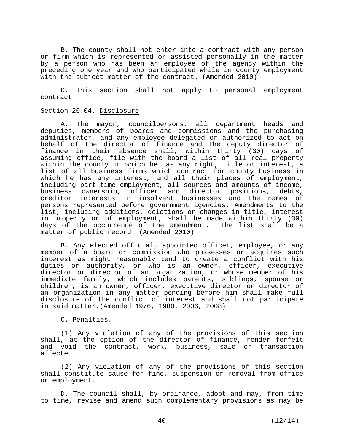B. The county shall not enter into a contract with any person or firm which is represented or assisted personally in the matter by a person who has been an employee of the agency within the preceding one year and who participated while in county employment with the subject matter of the contract. (Amended 2010)

 C. This section shall not apply to personal employment contract.

## Section 20.04. Disclosure.

 A. The mayor, councilpersons, all department heads and deputies, members of boards and commissions and the purchasing administrator, and any employee delegated or authorized to act on behalf of the director of finance and the deputy director of finance in their absence shall, within thirty (30) days of assuming office, file with the board a list of all real property within the county in which he has any right, title or interest, a list of all business firms which contract for county business in which he has any interest, and all their places of employment, including part-time employment, all sources and amounts of income, business ownership, officer and director positions, debts, creditor interests in insolvent businesses and the names of persons represented before government agencies. Amendments to the list, including additions, deletions or changes in title, interest in property or of employment, shall be made within thirty (30) days of the occurrence of the amendment. The list shall be a matter of public record. (Amended 2010)

 B. Any elected official, appointed officer, employee, or any member of a board or commission who possesses or acquires such interest as might reasonably tend to create a conflict with his duties or authority, or who is an owner, officer, executive director or director of an organization, or whose member of his immediate family, which includes parents, siblings, spouse or children, is an owner, officer, executive director or director of an organization in any matter pending before him shall make full disclosure of the conflict of interest and shall not participate in said matter.(Amended 1976, 1980, 2006, 2008)

C. Penalties.

 (1) Any violation of any of the provisions of this section shall, at the option of the director of finance, render forfeit and void the contract, work, business, sale or transaction affected.

 (2) Any violation of any of the provisions of this section shall constitute cause for fine, suspension or removal from office or employment.

 D. The council shall, by ordinance, adopt and may, from time to time, revise and amend such complementary provisions as may be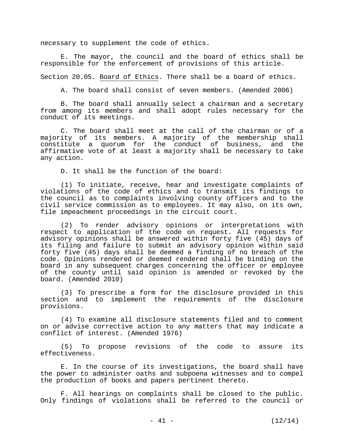necessary to supplement the code of ethics.

 E. The mayor, the council and the board of ethics shall be responsible for the enforcement of provisions of this article.

Section 20.05. Board of Ethics. There shall be a board of ethics.

A. The board shall consist of seven members. (Amended 2006)

 B. The board shall annually select a chairman and a secretary from among its members and shall adopt rules necessary for the conduct of its meetings.

 C. The board shall meet at the call of the chairman or of a majority of its members. A majority of the membership shall constitute a quorum for the conduct of business, and the affirmative vote of at least a majority shall be necessary to take any action.

D. It shall be the function of the board:

 (1) To initiate, receive, hear and investigate complaints of violations of the code of ethics and to transmit its findings to the council as to complaints involving county officers and to the civil service commission as to employees. It may also, on its own, file impeachment proceedings in the circuit court.

 (2) To render advisory opinions or interpretations with respect to application of the code on request. All requests for advisory opinions shall be answered within forty five (45) days of its filing and failure to submit an advisory opinion within said forty five (45) days shall be deemed a finding of no breach of the code. Opinions rendered or deemed rendered shall be binding on the board in any subsequent charges concerning the officer or employee of the county until said opinion is amended or revoked by the board. (Amended 2010)

 (3) To prescribe a form for the disclosure provided in this section and to implement the requirements of the disclosure provisions.

 (4) To examine all disclosure statements filed and to comment on or advise corrective action to any matters that may indicate a conflict of interest. (Amended 1976)

 (5) To propose revisions of the code to assure its effectiveness.

 E. In the course of its investigations, the board shall have the power to administer oaths and subpoena witnesses and to compel the production of books and papers pertinent thereto.

 F. All hearings on complaints shall be closed to the public. Only findings of violations shall be referred to the council or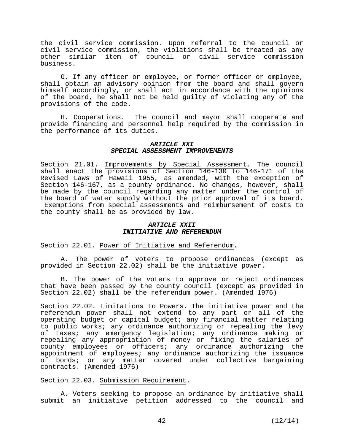the civil service commission. Upon referral to the council or civil service commission, the violations shall be treated as any other similar item of council or civil service commission business.

 G. If any officer or employee, or former officer or employee, shall obtain an advisory opinion from the board and shall govern himself accordingly, or shall act in accordance with the opinions of the board, he shall not be held guilty of violating any of the provisions of the code.

 H. Cooperations. The council and mayor shall cooperate and provide financing and personnel help required by the commission in the performance of its duties.

## *ARTICLE XXI SPECIAL ASSESSMENT IMPROVEMENTS*

Section 21.01. Improvements by Special Assessment. The council shall enact the provisions of Section 146-130 to 146-171 of the Revised Laws of Hawaii 1955, as amended, with the exception of Section 146-167, as a county ordinance. No changes, however, shall be made by the council regarding any matter under the control of the board of water supply without the prior approval of its board. Exemptions from special assessments and reimbursement of costs to the county shall be as provided by law.

## *ARTICLE XXII INITIATIVE AND REFERENDUM*

Section 22.01. Power of Initiative and Referendum.

 A. The power of voters to propose ordinances (except as provided in Section 22.02) shall be the initiative power.

 B. The power of the voters to approve or reject ordinances that have been passed by the county council (except as provided in Section 22.02) shall be the referendum power. (Amended 1976)

Section 22.02. Limitations to Powers. The initiative power and the referendum power shall not extend to any part or all of the operating budget or capital budget; any financial matter relating to public works; any ordinance authorizing or repealing the levy of taxes; any emergency legislation; any ordinance making or repealing any appropriation of money or fixing the salaries of county employees or officers; any ordinance authorizing the appointment of employees; any ordinance authorizing the issuance of bonds; or any matter covered under collective bargaining contracts. (Amended 1976)

Section 22.03. Submission Requirement.

 A. Voters seeking to propose an ordinance by initiative shall submit an initiative petition addressed to the council and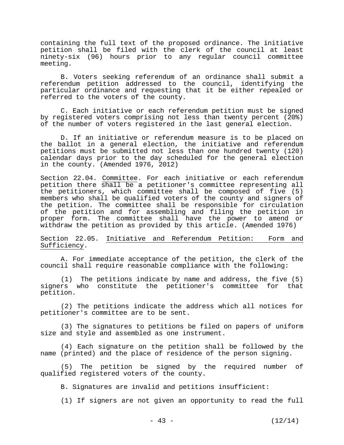containing the full text of the proposed ordinance. The initiative petition shall be filed with the clerk of the council at least ninety-six (96) hours prior to any regular council committee meeting.

 B. Voters seeking referendum of an ordinance shall submit a referendum petition addressed to the council, identifying the particular ordinance and requesting that it be either repealed or referred to the voters of the county.

 C. Each initiative or each referendum petition must be signed by registered voters comprising not less than twenty percent (20%) of the number of voters registered in the last general election.

 D. If an initiative or referendum measure is to be placed on the ballot in a general election, the initiative and referendum petitions must be submitted not less than one hundred twenty (120) calendar days prior to the day scheduled for the general election in the county. (Amended 1976, 2012)

Section 22.04. Committee. For each initiative or each referendum petition there shall be a petitioner's committee representing all the petitioners, which committee shall be composed of five (5) members who shall be qualified voters of the county and signers of the petition. The committee shall be responsible for circulation of the petition and for assembling and filing the petition in proper form. The committee shall have the power to amend or withdraw the petition as provided by this article. (Amended 1976)

Section 22.05. Initiative and Referendum Petition: Form and Sufficiency.

 A. For immediate acceptance of the petition, the clerk of the council shall require reasonable compliance with the following:

 (1) The petitions indicate by name and address, the five (5) signers who constitute the petitioner's committee for that petition.

 (2) The petitions indicate the address which all notices for petitioner's committee are to be sent.

 (3) The signatures to petitions be filed on papers of uniform size and style and assembled as one instrument.

 (4) Each signature on the petition shall be followed by the name (printed) and the place of residence of the person signing.

 (5) The petition be signed by the required number of qualified registered voters of the county.

B. Signatures are invalid and petitions insufficient:

(1) If signers are not given an opportunity to read the full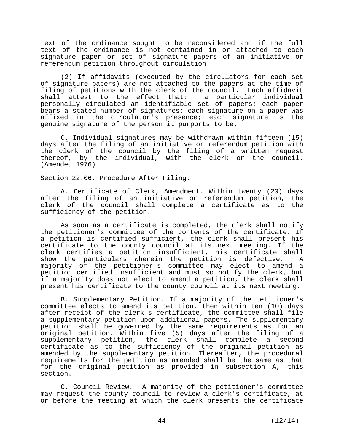text of the ordinance sought to be reconsidered and if the full text of the ordinance is not contained in or attached to each signature paper or set of signature papers of an initiative or referendum petition throughout circulation.

 (2) If affidavits (executed by the circulators for each set of signature papers) are not attached to the papers at the time of filing of petitions with the clerk of the council. Each affidavit shall attest to the effect that: a particular individual personally circulated an identifiable set of papers; each paper bears a stated number of signatures; each signature on a paper was affixed in the circulator's presence; each signature is the genuine signature of the person it purports to be.

 C. Individual signatures may be withdrawn within fifteen (15) days after the filing of an initiative or referendum petition with the clerk of the council by the filing of a written request thereof, by the individual, with the clerk or the council. (Amended 1976)

## Section 22.06. Procedure After Filing.

 A. Certificate of Clerk; Amendment. Within twenty (20) days after the filing of an initiative or referendum petition, the clerk of the council shall complete a certificate as to the sufficiency of the petition.

 As soon as a certificate is completed, the clerk shall notify the petitioner's committee of the contents of the certificate. If a petition is certified sufficient, the clerk shall present his certificate to the county council at its next meeting. If the clerk certifies a petition insufficient, his certificate shall show the particulars wherein the petition is defective. A majority of the petitioner's committee may elect to amend a petition certified insufficient and must so notify the clerk, but if a majority does not elect to amend a petition, the clerk shall present his certificate to the county council at its next meeting.

 B. Supplementary Petition. If a majority of the petitioner's committee elects to amend its petition, then within ten (10) days after receipt of the clerk's certificate, the committee shall file a supplementary petition upon additional papers. The supplementary petition shall be governed by the same requirements as for an original petition. Within five (5) days after the filing of a supplementary petition, the clerk shall complete a second certificate as to the sufficiency of the original petition as amended by the supplementary petition. Thereafter, the procedural requirements for the petition as amended shall be the same as that for the original petition as provided in subsection A, this section.

 C. Council Review. A majority of the petitioner's committee may request the county council to review a clerk's certificate, at or before the meeting at which the clerk presents the certificate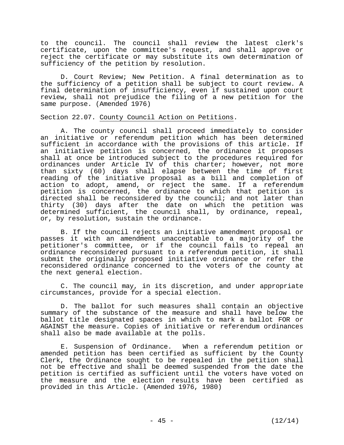to the council. The council shall review the latest clerk's certificate, upon the committee's request, and shall approve or reject the certificate or may substitute its own determination of sufficiency of the petition by resolution.

 D. Court Review; New Petition. A final determination as to the sufficiency of a petition shall be subject to court review. A final determination of insufficiency, even if sustained upon court review, shall not prejudice the filing of a new petition for the same purpose. (Amended 1976)

## Section 22.07. County Council Action on Petitions.

 A. The county council shall proceed immediately to consider an initiative or referendum petition which has been determined sufficient in accordance with the provisions of this article. If an initiative petition is concerned, the ordinance it proposes shall at once be introduced subject to the procedures required for ordinances under Article IV of this charter; however, not more than sixty (60) days shall elapse between the time of first reading of the initiative proposal as a bill and completion of action to adopt, amend, or reject the same. If a referendum petition is concerned, the ordinance to which that petition is directed shall be reconsidered by the council; and not later than thirty (30) days after the date on which the petition was determined sufficient, the council shall, by ordinance, repeal, or, by resolution, sustain the ordinance.

 B. If the council rejects an initiative amendment proposal or passes it with an amendment unacceptable to a majority of the petitioner's committee, or if the council fails to repeal an ordinance reconsidered pursuant to a referendum petition, it shall submit the originally proposed initiative ordinance or refer the reconsidered ordinance concerned to the voters of the county at the next general election.

 C. The council may, in its discretion, and under appropriate circumstances, provide for a special election.

 D. The ballot for such measures shall contain an objective summary of the substance of the measure and shall have below the ballot title designated spaces in which to mark a ballot FOR or AGAINST the measure. Copies of initiative or referendum ordinances shall also be made available at the polls.

 E. Suspension of Ordinance. When a referendum petition or amended petition has been certified as sufficient by the County Clerk, the Ordinance sought to be repealed in the petition shall not be effective and shall be deemed suspended from the date the petition is certified as sufficient until the voters have voted on the measure and the election results have been certified as provided in this Article. (Amended 1976, 1980)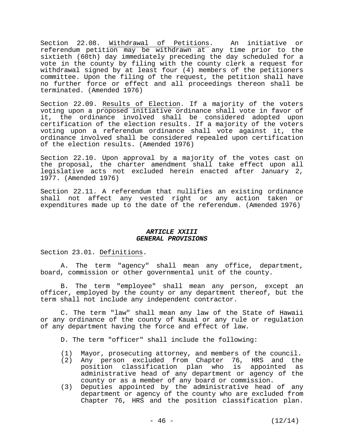Section 22.08. Withdrawal of Petitions. An initiative or referendum petition may be withdrawn at any time prior to the sixtieth (60th) day immediately preceding the day scheduled for a vote in the county by filing with the county clerk a request for withdrawal signed by at least four (4) members of the petitioners committee. Upon the filing of the request, the petition shall have no further force or effect and all proceedings thereon shall be terminated. (Amended 1976)

Section 22.09. Results of Election. If a majority of the voters voting upon a proposed initiative ordinance shall vote in favor of it, the ordinance involved shall be considered adopted upon certification of the election results. If a majority of the voters voting upon a referendum ordinance shall vote against it, the ordinance involved shall be considered repealed upon certification of the election results. (Amended 1976)

Section 22.10. Upon approval by a majority of the votes cast on the proposal, the charter amendment shall take effect upon all legislative acts not excluded herein enacted after January 2, 1977. (Amended 1976)

Section 22.11. A referendum that nullifies an existing ordinance shall not affect any vested right or any action taken or expenditures made up to the date of the referendum. (Amended 1976)

## *ARTICLE XXIII GENERAL PROVISIONS*

Section 23.01. Definitions.

 A. The term "agency" shall mean any office, department, board, commission or other governmental unit of the county.

 B. The term "employee" shall mean any person, except an officer, employed by the county or any department thereof, but the term shall not include any independent contractor.

 C. The term "law" shall mean any law of the State of Hawaii or any ordinance of the county of Kauai or any rule or regulation of any department having the force and effect of law.

D. The term "officer" shall include the following:

- (1) Mayor, prosecuting attorney, and members of the council.
- (2) Any person excluded from Chapter 76, HRS and the position classification plan who is appointed as administrative head of any department or agency of the county or as a member of any board or commission.
- (3) Deputies appointed by the administrative head of any department or agency of the county who are excluded from Chapter 76, HRS and the position classification plan.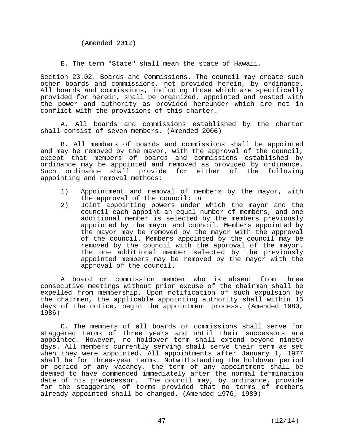(Amended 2012)

E. The term "State" shall mean the state of Hawaii.

Section 23.02. Boards and Commissions. The council may create such other boards and commissions, not provided herein, by ordinance. All boards and commissions, including those which are specifically provided for herein, shall be organized, appointed and vested with the power and authority as provided hereunder which are not in conflict with the provisions of this charter.

 A. All boards and commissions established by the charter shall consist of seven members. (Amended 2006)

 B. All members of boards and commissions shall be appointed and may be removed by the mayor, with the approval of the council, except that members of boards and commissions established by ordinance may be appointed and removed as provided by ordinance. Such ordinance shall provide for either of the following appointing and removal methods:

- 1) Appointment and removal of members by the mayor, with the approval of the council; or
- 2) Joint appointing powers under which the mayor and the council each appoint an equal number of members, and one additional member is selected by the members previously appointed by the mayor and council. Members appointed by the mayor may be removed by the mayor with the approval of the council. Members appointed by the council may be removed by the council with the approval of the mayor. The one additional member selected by the previously appointed members may be removed by the mayor with the approval of the council.

 A board or commission member who is absent from three consecutive meetings without prior excuse of the chairman shall be expelled from membership. Upon notification of such expulsion by the chairmen, the applicable appointing authority shall within 15 days of the notice, begin the appointment process. (Amended 1980, 1986)

 C. The members of all boards or commissions shall serve for staggered terms of three years and until their successors are appointed. However, no holdover term shall extend beyond ninety days. All members currently serving shall serve their term as set when they were appointed. All appointments after January 1, 1977 shall be for three-year terms. Notwithstanding the holdover period or period of any vacancy, the term of any appointment shall be deemed to have commenced immediately after the normal termination date of his predecessor. The council may, by ordinance, provide for the staggering of terms provided that no terms of members already appointed shall be changed. (Amended 1976, 1980)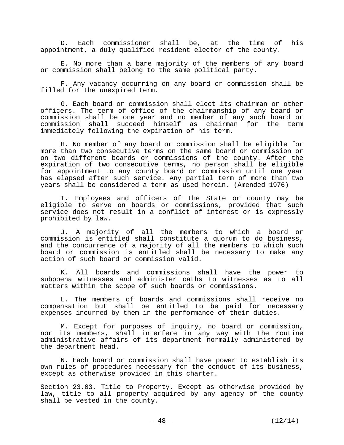D. Each commissioner shall be, at the time of his appointment, a duly qualified resident elector of the county.

 E. No more than a bare majority of the members of any board or commission shall belong to the same political party.

 F. Any vacancy occurring on any board or commission shall be filled for the unexpired term.

 G. Each board or commission shall elect its chairman or other officers. The term of office of the chairmanship of any board or commission shall be one year and no member of any such board or commission shall succeed himself as chairman for the term immediately following the expiration of his term.

 H. No member of any board or commission shall be eligible for more than two consecutive terms on the same board or commission or on two different boards or commissions of the county. After the expiration of two consecutive terms, no person shall be eligible for appointment to any county board or commission until one year has elapsed after such service. Any partial term of more than two years shall be considered a term as used herein. (Amended 1976)

 I. Employees and officers of the State or county may be eligible to serve on boards or commissions, provided that such service does not result in a conflict of interest or is expressly prohibited by law.

 J. A majority of all the members to which a board or commission is entitled shall constitute a quorum to do business, and the concurrence of a majority of all the members to which such board or commission is entitled shall be necessary to make any action of such board or commission valid.

 K. All boards and commissions shall have the power to subpoena witnesses and administer oaths to witnesses as to all matters within the scope of such boards or commissions.

 L. The members of boards and commissions shall receive no compensation but shall be entitled to be paid for necessary expenses incurred by them in the performance of their duties.

 M. Except for purposes of inquiry, no board or commission, nor its members, shall interfere in any way with the routine administrative affairs of its department normally administered by the department head.

 N. Each board or commission shall have power to establish its own rules of procedures necessary for the conduct of its business, except as otherwise provided in this charter.

Section 23.03. Title to Property. Except as otherwise provided by law, title to all property acquired by any agency of the county shall be vested in the county.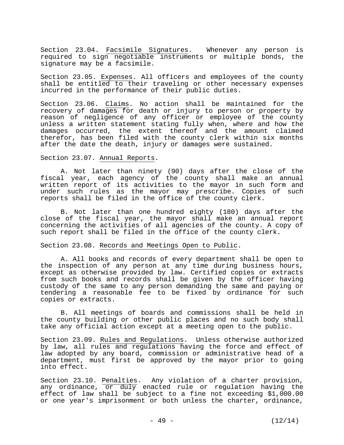Section 23.04. Facsimile Signatures. Whenever any person is required to sign negotiable instruments or multiple bonds, the signature may be a facsimile.

Section 23.05. Expenses. All officers and employees of the county shall be entitled to their traveling or other necessary expenses incurred in the performance of their public duties.

Section 23.06. Claims. No action shall be maintained for the recovery of damages for death or injury to person or property by reason of negligence of any officer or employee of the county unless a written statement stating fully when, where and how the damages occurred, the extent thereof and the amount claimed therefor, has been filed with the county clerk within six months after the date the death, injury or damages were sustained.

Section 23.07. Annual Reports.

 A. Not later than ninety (90) days after the close of the fiscal year, each agency of the county shall make an annual written report of its activities to the mayor in such form and under such rules as the mayor may prescribe. Copies of such reports shall be filed in the office of the county clerk.

 B. Not later than one hundred eighty (180) days after the close of the fiscal year, the mayor shall make an annual report concerning the activities of all agencies of the county. A copy of such report shall be filed in the office of the county clerk.

# Section 23.08. Records and Meetings Open to Public.

 A. All books and records of every department shall be open to the inspection of any person at any time during business hours, except as otherwise provided by law. Certified copies or extracts from such books and records shall be given by the officer having custody of the same to any person demanding the same and paying or tendering a reasonable fee to be fixed by ordinance for such copies or extracts.

 B. All meetings of boards and commissions shall be held in the county building or other public places and no such body shall take any official action except at a meeting open to the public.

Section 23.09. Rules and Regulations. Unless otherwise authorized by law, all rules and regulations having the force and effect of law adopted by any board, commission or administrative head of a department, must first be approved by the mayor prior to going into effect.

Section 23.10. Penalties. Any violation of a charter provision, any ordinance, or duly enacted rule or regulation having the effect of law shall be subject to a fine not exceeding \$1,000.00 or one year's imprisonment or both unless the charter, ordinance,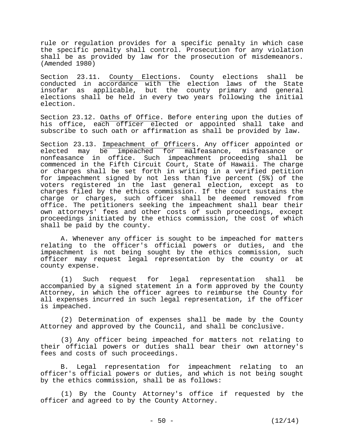rule or regulation provides for a specific penalty in which case the specific penalty shall control. Prosecution for any violation shall be as provided by law for the prosecution of misdemeanors. (Amended 1980)

Section 23.11. County Elections. County elections shall be conducted in accordance with the election laws of the State insofar as applicable, but the county primary and general elections shall be held in every two years following the initial election.

Section 23.12. Oaths of Office. Before entering upon the duties of his office, each officer elected or appointed shall take and subscribe to such oath or affirmation as shall be provided by law.

Section 23.13. Impeachment of Officers. Any officer appointed or elected may be impeached for malfeasance, misfeasance or nonfeasance in office. Such impeachment proceeding shall be commenced in the Fifth Circuit Court, State of Hawaii. The charge or charges shall be set forth in writing in a verified petition for impeachment signed by not less than five percent (5%) of the voters registered in the last general election, except as to charges filed by the ethics commission. If the court sustains the charge or charges, such officer shall be deemed removed from office. The petitioners seeking the impeachment shall bear their own attorneys' fees and other costs of such proceedings, except proceedings initiated by the ethics commission, the cost of which shall be paid by the county.

 A. Whenever any officer is sought to be impeached for matters relating to the officer's official powers or duties, and the impeachment is not being sought by the ethics commission, such officer may request legal representation by the county or at county expense.

 (1) Such request for legal representation shall be accompanied by a signed statement in a form approved by the County Attorney, in which the officer agrees to reimburse the County for all expenses incurred in such legal representation, if the officer is impeached.

 (2) Determination of expenses shall be made by the County Attorney and approved by the Council, and shall be conclusive.

 (3) Any officer being impeached for matters not relating to their official powers or duties shall bear their own attorney's fees and costs of such proceedings.

 B. Legal representation for impeachment relating to an officer's official powers or duties, and which is not being sought by the ethics commission, shall be as follows:

 (1) By the County Attorney's office if requested by the officer and agreed to by the County Attorney.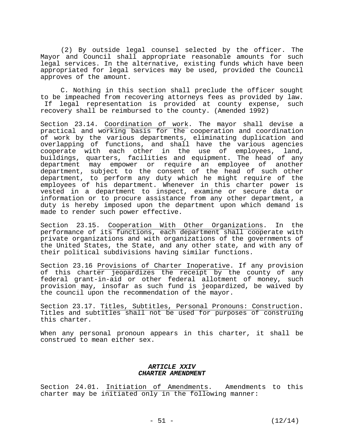(2) By outside legal counsel selected by the officer. The Mayor and Council shall appropriate reasonable amounts for such legal services. In the alternative, existing funds which have been appropriated for legal services may be used, provided the Council approves of the amount.

 C. Nothing in this section shall preclude the officer sought to be impeached from recovering attorneys fees as provided by law. If legal representation is provided at county expense, such recovery shall be reimbursed to the county. (Amended 1992)

Section 23.14. Coordination of work. The mayor shall devise a practical and working basis for the cooperation and coordination of work by the various departments, eliminating duplication and overlapping of functions, and shall have the various agencies cooperate with each other in the use of employees, land, buildings, quarters, facilities and equipment. The head of any department may empower or require an employee of another department, subject to the consent of the head of such other department, to perform any duty which he might require of the employees of his department. Whenever in this charter power is vested in a department to inspect, examine or secure data or information or to procure assistance from any other department, a duty is hereby imposed upon the department upon which demand is made to render such power effective.

Section 23.15. Cooperation With Other Organizations. In the performance of its functions, each department shall cooperate with private organizations and with organizations of the governments of the United States, the State, and any other state, and with any of their political subdivisions having similar functions.

Section 23.16 Provisions of Charter Inoperative. If any provision of this charter jeopardizes the receipt by the county of any federal grant-in-aid or other federal allotment of money, such provision may, insofar as such fund is jeopardized, be waived by the council upon the recommendation of the mayor.

Section 23.17. Titles, Subtitles, Personal Pronouns: Construction. Titles and subtitles shall not be used for purposes of construing this charter.

When any personal pronoun appears in this charter, it shall be construed to mean either sex.

## *ARTICLE XXIV CHARTER AMENDMENT*

Section 24.01. Initiation of Amendments. Amendments to this charter may be initiated only in the following manner: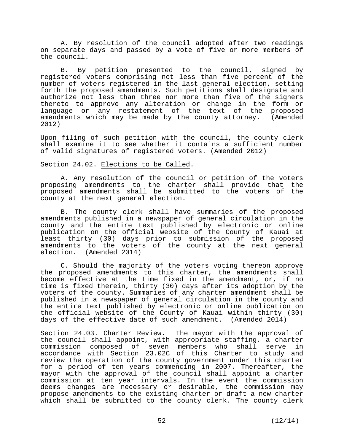A. By resolution of the council adopted after two readings on separate days and passed by a vote of five or more members of the council.

 B. By petition presented to the council, signed by registered voters comprising not less than five percent of the number of voters registered in the last general election, setting forth the proposed amendments. Such petitions shall designate and authorize not less than three nor more than five of the signers thereto to approve any alteration or change in the form or language or any restatement of the text of the proposed amendments which may be made by the county attorney. (Amended 2012)

Upon filing of such petition with the council, the county clerk shall examine it to see whether it contains a sufficient number of valid signatures of registered voters. (Amended 2012)

### Section 24.02. Elections to be Called.

 A. Any resolution of the council or petition of the voters proposing amendments to the charter shall provide that the proposed amendments shall be submitted to the voters of the county at the next general election.

B. The county clerk shall have summaries of the proposed amendments published in a newspaper of general circulation in the county and the entire text published by electronic or online publication on the official website of the County of Kauai at least thirty (30) days prior to submission of the proposed amendments to the voters of the county at the next general election. (Amended 2014)

 C. Should the majority of the voters voting thereon approve the proposed amendments to this charter, the amendments shall become effective at the time fixed in the amendment, or, if no time is fixed therein, thirty (30) days after its adoption by the voters of the county. Summaries of any charter amendment shall be published in a newspaper of general circulation in the county and the entire text published by electronic or online publication on the official website of the County of Kauai within thirty (30) days of the effective date of such amendment. (Amended 2014)

Section 24.03. Charter Review. The mayor with the approval of the council shall appoint, with appropriate staffing, a charter commission composed of seven members who shall serve in accordance with Section 23.02C of this Charter to study and review the operation of the county government under this charter for a period of ten years commencing in 2007. Thereafter, the mayor with the approval of the council shall appoint a charter commission at ten year intervals. In the event the commission deems changes are necessary or desirable, the commission may propose amendments to the existing charter or draft a new charter which shall be submitted to the county clerk. The county clerk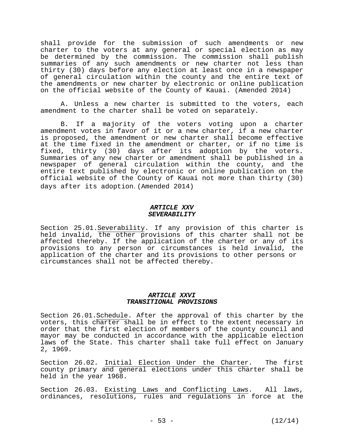shall provide for the submission of such amendments or new charter to the voters at any general or special election as may be determined by the commission. The commission shall publish summaries of any such amendments or new charter not less than thirty (30) days before any election at least once in a newspaper of general circulation within the county and the entire text of the amendments or new charter by electronic or online publication on the official website of the County of Kauai. (Amended 2014)

A. Unless a new charter is submitted to the voters, each amendment to the charter shall be voted on separately.

B. If a majority of the voters voting upon a charter amendment votes in favor of it or a new charter, if a new charter is proposed, the amendment or new charter shall become effective at the time fixed in the amendment or charter, or if no time is fixed, thirty (30) days after its adoption by the voters. Summaries of any new charter or amendment shall be published in a newspaper of general circulation within the county, and the entire text published by electronic or online publication on the official website of the County of Kauai not more than thirty (30) days after its adoption. (Amended 2014)

#### *ARTICLE XXV SEVERABILITY*

Section 25.01. Severability. If any provision of this charter is held invalid, the other provisions of this charter shall not be affected thereby. If the application of the charter or any of its provisions to any person or circumstances is held invalid, the application of the charter and its provisions to other persons or circumstances shall not be affected thereby.

## *ARTICLE XXVI TRANSITIONAL PROVISIONS*

Section 26.01.Schedule. After the approval of this charter by the voters, this charter shall be in effect to the extent necessary in order that the first election of members of the county council and mayor may be conducted in accordance with the applicable election laws of the State. This charter shall take full effect on January 2, 1969.

Section 26.02. Initial Election Under the Charter. The first county primary and general elections under this charter shall be held in the year 1968.

Section 26.03. Existing Laws and Conflicting Laws. All laws, ordinances, resolutions, rules and regulations in force at the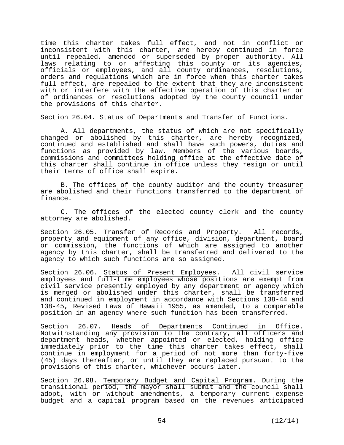time this charter takes full effect, and not in conflict or inconsistent with this charter, are hereby continued in force until repealed, amended or superseded by proper authority. All laws relating to or affecting this county or its agencies, officials or employees, and all county ordinances, resolutions, orders and regulations which are in force when this charter takes full effect, are repealed to the extent that they are inconsistent with or interfere with the effective operation of this charter or of ordinances or resolutions adopted by the county council under the provisions of this charter.

Section 26.04. Status of Departments and Transfer of Functions.

 A. All departments, the status of which are not specifically changed or abolished by this charter, are hereby recognized, continued and established and shall have such powers, duties and functions as provided by law. Members of the various boards, commissions and committees holding office at the effective date of this charter shall continue in office unless they resign or until their terms of office shall expire.

 B. The offices of the county auditor and the county treasurer are abolished and their functions transferred to the department of finance.

 C. The offices of the elected county clerk and the county attorney are abolished.

Section 26.05. Transfer of Records and Property. All records, property and equipment of any office, division, department, board or commission, the functions of which are assigned to another agency by this charter, shall be transferred and delivered to the agency to which such functions are so assigned.

Section 26.06. Status of Present Employees. All civil service employees and full-time employees whose positions are exempt from civil service presently employed by any department or agency which is merged or abolished under this charter, shall be transferred and continued in employment in accordance with Sections 138-44 and 138-45, Revised Laws of Hawaii 1955, as amended, to a comparable position in an agency where such function has been transferred.

Section 26.07. Heads of Departments Continued in Office. Notwithstanding any provision to the contrary, all officers and department heads, whether appointed or elected, holding office immediately prior to the time this charter takes effect, shall continue in employment for a period of not more than forty-five (45) days thereafter, or until they are replaced pursuant to the provisions of this charter, whichever occurs later.

Section 26.08. Temporary Budget and Capital Program. During the transitional period, the mayor shall submit and the council shall adopt, with or without amendments, a temporary current expense budget and a capital program based on the revenues anticipated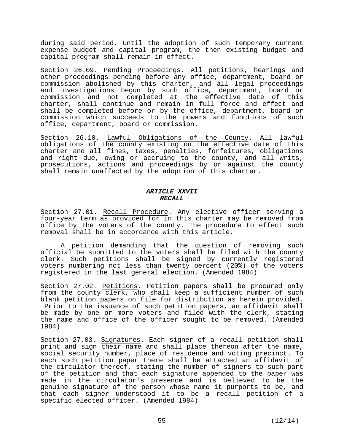during said period. Until the adoption of such temporary current expense budget and capital program, the then existing budget and capital program shall remain in effect.

Section 26.09. Pending Proceedings. All petitions, hearings and other proceedings pending before any office, department, board or commission abolished by this charter, and all legal proceedings and investigations begun by such office, department, board or commission and not completed at the effective date of this charter, shall continue and remain in full force and effect and shall be completed before or by the office, department, board or commission which succeeds to the powers and functions of such office, department, board or commission.

Section 26.10. Lawful Obligations of the County. All lawful obligations of the county existing on the effective date of this charter and all fines, taxes, penalties, forfeitures, obligations and right due, owing or accruing to the county, and all writs, prosecutions, actions and proceedings by or against the county shall remain unaffected by the adoption of this charter.

# *ARTICLE XXVII RECALL*

Section 27.01. Recall Procedure. Any elective officer serving a four-year term as provided for in this charter may be removed from office by the voters of the county. The procedure to effect such removal shall be in accordance with this article.

 A petition demanding that the question of removing such official be submitted to the voters shall be filed with the county clerk. Such petitions shall be signed by currently registered voters numbering not less than twenty percent (20%) of the voters registered in the last general election. (Amended 1984)

Section 27.02. Petitions. Petition papers shall be procured only from the county clerk, who shall keep a sufficient number of such blank petition papers on file for distribution as herein provided. Prior to the issuance of such petition papers, an affidavit shall be made by one or more voters and filed with the clerk, stating the name and office of the officer sought to be removed. (Amended 1984)

Section 27.03. Signatures. Each signer of a recall petition shall print and sign their name and shall place thereon after the name, social security number, place of residence and voting precinct. To each such petition paper there shall be attached an affidavit of the circulator thereof, stating the number of signers to such part of the petition and that each signature appended to the paper was made in the circulator's presence and is believed to be the genuine signature of the person whose name it purports to be, and that each signer understood it to be a recall petition of a specific elected officer. (Amended 1984)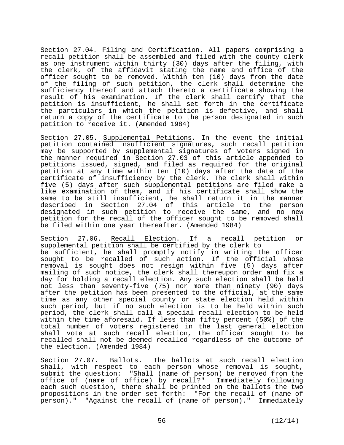Section 27.04. Filing and Certification. All papers comprising a recall petition shall be assembled and filed with the county clerk as one instrument within thirty (30) days after the filing, with the clerk, of the affidavit stating the name and office of the officer sought to be removed. Within ten (10) days from the date of the filing of such petition, the clerk shall determine the sufficiency thereof and attach thereto a certificate showing the result of his examination. If the clerk shall certify that the petition is insufficient, he shall set forth in the certificate the particulars in which the petition is defective, and shall return a copy of the certificate to the person designated in such petition to receive it. (Amended 1984)

Section 27.05. Supplemental Petitions. In the event the initial petition contained insufficient signatures, such recall petition may be supported by supplemental signatures of voters signed in the manner required in Section 27.03 of this article appended to petitions issued, signed, and filed as required for the original petition at any time within ten (10) days after the date of the certificate of insufficiency by the clerk. The clerk shall within five (5) days after such supplemental petitions are filed make a like examination of them, and if his certificate shall show the same to be still insufficient, he shall return it in the manner described in Section 27.04 of this article to the person designated in such petition to receive the same, and no new petition for the recall of the officer sought to be removed shall be filed within one year thereafter. (Amended 1984)

Section 27.06. Recall Election. If a recall petition or supplemental petition shall be certified by the clerk to be sufficient, he shall promptly notify in writing the officer sought to be recalled of such action. If the official whose removal is sought does not resign within five (5) days after mailing of such notice, the clerk shall thereupon order and fix a day for holding a recall election. Any such election shall be held not less than seventy-five (75) nor more than ninety (90) days after the petition has been presented to the official, at the same time as any other special county or state election held within such period, but if no such election is to be held within such period, the clerk shall call a special recall election to be held within the time aforesaid. If less than fifty percent (50%) of the total number of voters registered in the last general election shall vote at such recall election, the officer sought to be recalled shall not be deemed recalled regardless of the outcome of the election. (Amended 1984)

Section 27.07. Ballots. The ballots at such recall election shall, with respect to each person whose removal is sought, submit the question: "Shall (name of person) be removed from the office of (name of office) by recall?" Immediately following each such question, there shall be printed on the ballots the two propositions in the order set forth: "For the recall of (name of person)." "Against the recall of (name of person)." Immediately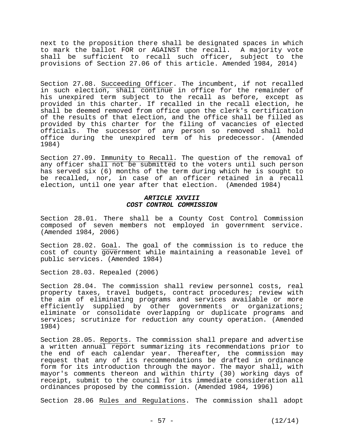next to the proposition there shall be designated spaces in which to mark the ballot FOR or AGAINST the recall. A majority vote shall be sufficient to recall such officer, subject to the provisions of Section 27.06 of this article. Amended 1984, 2014)

Section 27.08. Succeeding Officer. The incumbent, if not recalled in such election, shall continue in office for the remainder of his unexpired term subject to the recall as before, except as provided in this charter. If recalled in the recall election, he shall be deemed removed from office upon the clerk's certification of the results of that election, and the office shall be filled as provided by this charter for the filing of vacancies of elected officials. The successor of any person so removed shall hold office during the unexpired term of his predecessor. (Amended 1984)

Section 27.09. Immunity to Recall. The question of the removal of any officer shall not be submitted to the voters until such person has served six (6) months of the term during which he is sought to be recalled, nor, in case of an officer retained in a recall election, until one year after that election. (Amended 1984)

### *ARTICLE XXVIII COST CONTROL COMMISSION*

Section 28.01. There shall be a County Cost Control Commission composed of seven members not employed in government service. (Amended 1984, 2006)

Section 28.02. Goal. The goal of the commission is to reduce the cost of county government while maintaining a reasonable level of public services. (Amended 1984)

Section 28.03. Repealed (2006)

Section 28.04. The commission shall review personnel costs, real property taxes, travel budgets, contract procedures; review with the aim of eliminating programs and services available or more efficiently supplied by other governments or organizations; eliminate or consolidate overlapping or duplicate programs and services; scrutinize for reduction any county operation. (Amended 1984)

Section 28.05. Reports. The commission shall prepare and advertise a written annual report summarizing its recommendations prior to the end of each calendar year. Thereafter, the commission may request that any of its recommendations be drafted in ordinance form for its introduction through the mayor. The mayor shall, with mayor's comments thereon and within thirty (30) working days of receipt, submit to the council for its immediate consideration all ordinances proposed by the commission. (Amended 1984, 1996)

Section 28.06 Rules and Regulations. The commission shall adopt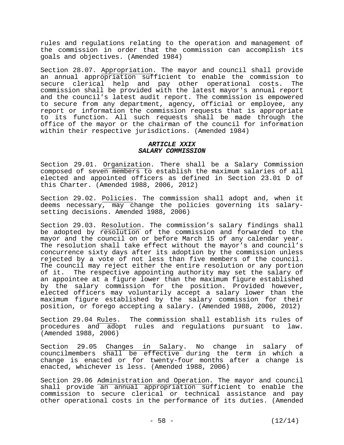rules and regulations relating to the operation and management of the commission in order that the commission can accomplish its goals and objectives. (Amended 1984)

Section 28.07. Appropriation. The mayor and council shall provide an annual appropriation sufficient to enable the commission to secure clerical help and pay other operational costs. The commission shall be provided with the latest mayor's annual report and the council's latest audit report. The commission is empowered to secure from any department, agency, official or employee, any report or information the commission requests that is appropriate to its function. All such requests shall be made through the office of the mayor or the chairman of the council for information within their respective jurisdictions. (Amended 1984)

# *ARTICLE XXIX SALARY COMMISSION*

Section 29.01. Organization. There shall be a Salary Commission composed of seven members to establish the maximum salaries of all elected and appointed officers as defined in Section 23.01 D of this Charter. (Amended 1988, 2006, 2012)

Section 29.02. Policies. The commission shall adopt and, when it deems necessary, may change the policies governing its salarysetting decisions. Amended 1988, 2006)

Section 29.03. Resolution. The commission's salary findings shall be adopted by resolution of the commission and forwarded to the mayor and the council on or before March 15 of any calendar year. The resolution shall take effect without the mayor's and council's concurrence sixty days after its adoption by the commission unless rejected by a vote of not less than five members of the council. The council may reject either the entire resolution or any portion of it. The respective appointing authority may set the salary of an appointee at a figure lower than the maximum figure established by the salary commission for the position. Provided however, elected officers may voluntarily accept a salary lower than the maximum figure established by the salary commission for their position, or forego accepting a salary. (Amended 1988, 2006, 2012)

Section 29.04 <u>Rules</u>. The commission shall establish its rules of procedures and adopt rules and regulations pursuant to law. (Amended 1988, 2006)

Section 29.05 Changes in Salary. No change in salary of councilmembers shall be effective during the term in which a change is enacted or for twenty-four months after a change is enacted, whichever is less. (Amended 1988, 2006)

Section 29.06 Administration and Operation. The mayor and council shall provide an annual appropriation sufficient to enable the commission to secure clerical or technical assistance and pay other operational costs in the performance of its duties. (Amended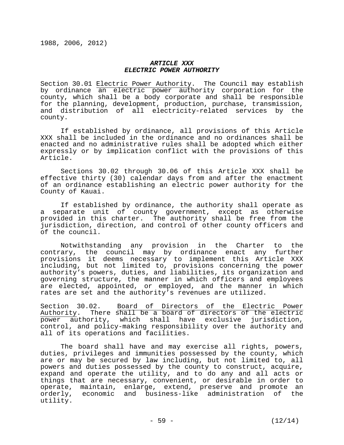#### *ARTICLE XXX ELECTRIC POWER AUTHORITY*

Section 30.01 Electric Power Authority. The Council may establish by ordinance an electric power authority corporation for the county, which shall be a body corporate and shall be responsible for the planning, development, production, purchase, transmission, and distribution of all electricity-related services by the county.

 If established by ordinance, all provisions of this Article XXX shall be included in the ordinance and no ordinances shall be enacted and no administrative rules shall be adopted which either expressly or by implication conflict with the provisions of this Article.

Sections 30.02 through 30.06 of this Article XXX shall be effective thirty (30) calendar days from and after the enactment of an ordinance establishing an electric power authority for the County of Kauai.

If established by ordinance, the authority shall operate as a separate unit of county government, except as otherwise provided in this charter. The authority shall be free from the jurisdiction, direction, and control of other county officers and of the council.

Notwithstanding any provision in the Charter to the contrary, the council may by ordinance enact any further provisions it deems necessary to implement this Article XXX including, but not limited to, provisions concerning the power authority's powers, duties, and liabilities, its organization and governing structure, the manner in which officers and employees are elected, appointed, or employed, and the manner in which rates are set and the authority's revenues are utilized.

Section 30.02. Board of Directors of the Electric Power Authority. There shall be a board of directors of the electric power authority, which shall have exclusive jurisdiction, control, and policy-making responsibility over the authority and all of its operations and facilities.

The board shall have and may exercise all rights, powers, duties, privileges and immunities possessed by the county, which are or may be secured by law including, but not limited to, all powers and duties possessed by the county to construct, acquire, expand and operate the utility, and to do any and all acts or things that are necessary, convenient, or desirable in order to operate, maintain, enlarge, extend, preserve and promote an orderly, economic and business-like administration of the utility.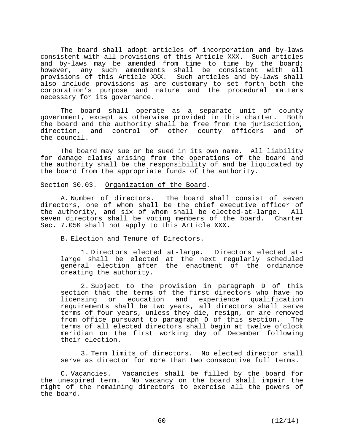The board shall adopt articles of incorporation and by-laws consistent with all provisions of this Article XXX. Such articles and by-laws may be amended from time to time by the board; however, any such amendments shall be consistent with all provisions of this Article XXX. Such articles and by-laws shall also include provisions as are customary to set forth both the corporation's purpose and nature and the procedural matters necessary for its governance.

The board shall operate as a separate unit of county government, except as otherwise provided in this charter. Both the board and the authority shall be free from the jurisdiction, direction, and control of other county officers and of the council.

The board may sue or be sued in its own name. All liability for damage claims arising from the operations of the board and the authority shall be the responsibility of and be liquidated by the board from the appropriate funds of the authority.

Section 30.03. Organization of the Board.

A. Number of directors. The board shall consist of seven directors, one of whom shall be the chief executive officer of the authority, and six of whom shall be elected-at-large. All seven directors shall be voting members of the board. Charter Sec. 7.05K shall not apply to this Article XXX.

B. Election and Tenure of Directors.

1. Directors elected at-large. Directors elected atlarge shall be elected at the next regularly scheduled general election after the enactment of the ordinance creating the authority.

2. Subject to the provision in paragraph D of this section that the terms of the first directors who have no<br>licensing or education and experience qualification and experience qualification requirements shall be two years, all directors shall serve terms of four years, unless they die, resign, or are removed from office pursuant to paragraph D of this section. The terms of all elected directors shall begin at twelve o'clock meridian on the first working day of December following their election.

3. Term limits of directors. No elected director shall serve as director for more than two consecutive full terms.

C. Vacancies. Vacancies shall be filled by the board for the unexpired term. No vacancy on the board shall impair the right of the remaining directors to exercise all the powers of the board.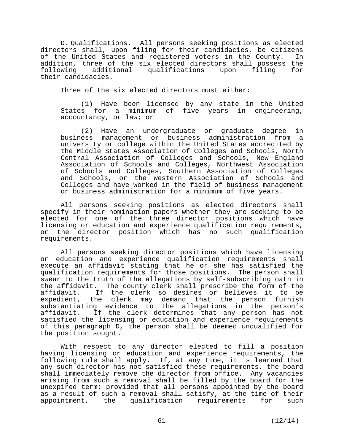D. Qualifications. All persons seeking positions as elected directors shall, upon filing for their candidacies, be citizens of the United States and registered voters in the County. In addition, three of the six elected directors shall possess the following additional qualifications upon filing for their candidacies.

Three of the six elected directors must either:

(1) Have been licensed by any state in the United States for a minimum of five years in engineering, accountancy, or law; or

(2) Have an undergraduate or graduate degree in business management or business administration from a university or college within the United States accredited by the Middle States Association of Colleges and Schools, North Central Association of Colleges and Schools, New England Association of Schools and Colleges, Northwest Association of Schools and Colleges, Southern Association of Colleges and Schools, or the Western Association of Schools and Colleges and have worked in the field of business management or business administration for a minimum of five years.

All persons seeking positions as elected directors shall specify in their nomination papers whether they are seeking to be elected for one of the three director positions which have licensing or education and experience qualification requirements, or the director position which has no such qualification requirements.

All persons seeking director positions which have licensing or education and experience qualification requirements shall execute an affidavit stating that he or she has satisfied the qualification requirements for those positions. The person shall swear to the truth of the allegations by self-subscribing oath in the affidavit. The county clerk shall prescribe the form of the affidavit. If the clerk so desires or believes it to be expedient, the clerk may demand that the person furnish substantiating evidence to the allegations in the person's affidavit. If the clerk determines that any person has not satisfied the licensing or education and experience requirements of this paragraph D, the person shall be deemed unqualified for the position sought.

With respect to any director elected to fill a position having licensing or education and experience requirements, the following rule shall apply. If, at any time, it is learned that any such director has not satisfied these requirements, the board shall immediately remove the director from office. Any vacancies arising from such a removal shall be filled by the board for the unexpired term; provided that all persons appointed by the board as a result of such a removal shall satisfy, at the time of their appointment, the qualification requirements for such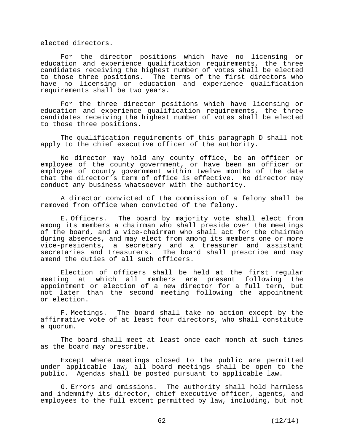elected directors.

For the director positions which have no licensing or education and experience qualification requirements, the three candidates receiving the highest number of votes shall be elected to those three positions. The terms of the first directors who have no licensing or education and experience qualification requirements shall be two years.

For the three director positions which have licensing or education and experience qualification requirements, the three candidates receiving the highest number of votes shall be elected to those three positions.

The qualification requirements of this paragraph D shall not apply to the chief executive officer of the authority.

No director may hold any county office, be an officer or employee of the county government, or have been an officer or employee of county government within twelve months of the date that the director's term of office is effective. No director may conduct any business whatsoever with the authority.

A director convicted of the commission of a felony shall be removed from office when convicted of the felony.

E. Officers. The board by majority vote shall elect from among its members a chairman who shall preside over the meetings of the board, and a vice-chairman who shall act for the chairman during absences, and may elect from among its members one or more vice-presidents, a secretary and a treasurer and assistant secretaries and treasurers. The board shall prescribe and may amend the duties of all such officers.

Election of officers shall be held at the first regular meeting at which all members are present following the appointment or election of a new director for a full term, but not later than the second meeting following the appointment or election.

F. Meetings. The board shall take no action except by the affirmative vote of at least four directors, who shall constitute a quorum.

The board shall meet at least once each month at such times as the board may prescribe.

Except where meetings closed to the public are permitted under applicable law, all board meetings shall be open to the public. Agendas shall be posted pursuant to applicable law.

G. Errors and omissions. The authority shall hold harmless and indemnify its director, chief executive officer, agents, and employees to the full extent permitted by law, including, but not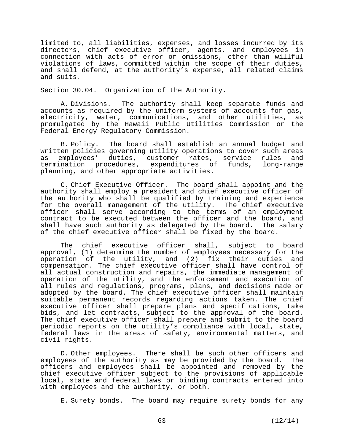limited to, all liabilities, expenses, and losses incurred by its directors, chief executive officer, agents, and employees in connection with acts of error or omissions, other than willful violations of laws, committed within the scope of their duties, and shall defend, at the authority's expense, all related claims and suits.

## Section 30.04. Organization of the Authority.

A. Divisions. The authority shall keep separate funds and accounts as required by the uniform systems of accounts for gas, electricity, water, communications, and other utilities, as promulgated by the Hawaii Public Utilities Commission or the Federal Energy Regulatory Commission.

B. Policy. The board shall establish an annual budget and written policies governing utility operations to cover such areas as employees' duties, customer rates, service rules and termination procedures, expenditures of funds, long-range planning, and other appropriate activities.

C. Chief Executive Officer. The board shall appoint and the authority shall employ a president and chief executive officer of the authority who shall be qualified by training and experience for the overall management of the utility. The chief executive officer shall serve according to the terms of an employment contract to be executed between the officer and the board, and shall have such authority as delegated by the board. The salary of the chief executive officer shall be fixed by the board.

The chief executive officer shall, subject to board approval, (1) determine the number of employees necessary for the operation of the utility, and (2) fix their duties and compensation. The chief executive officer shall have control of all actual construction and repairs, the immediate management of operation of the utility, and the enforcement and execution of all rules and regulations, programs, plans, and decisions made or adopted by the board. The chief executive officer shall maintain suitable permanent records regarding actions taken. The chief executive officer shall prepare plans and specifications, take bids, and let contracts, subject to the approval of the board. The chief executive officer shall prepare and submit to the board periodic reports on the utility's compliance with local, state, federal laws in the areas of safety, environmental matters, and civil rights.

D. Other employees. There shall be such other officers and employees of the authority as may be provided by the board. The officers and employees shall be appointed and removed by the chief executive officer subject to the provisions of applicable local, state and federal laws or binding contracts entered into with employees and the authority, or both.

E. Surety bonds. The board may require surety bonds for any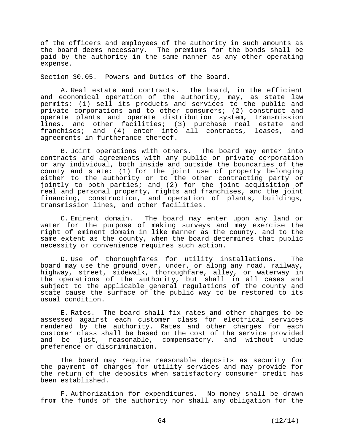of the officers and employees of the authority in such amounts as the board deems necessary. The premiums for the bonds shall be paid by the authority in the same manner as any other operating expense.

Section 30.05. Powers and Duties of the Board.

A. Real estate and contracts. The board, in the efficient and economical operation of the authority, may, as state law permits: (1) sell its products and services to the public and private corporations and to other consumers; (2) construct and operate plants and operate distribution system, transmission lines, and other facilities; (3) purchase real estate and franchises; and (4) enter into all contracts, leases, and agreements in furtherance thereof.

B. Joint operations with others. The board may enter into contracts and agreements with any public or private corporation or any individual, both inside and outside the boundaries of the county and state: (1) for the joint use of property belonging either to the authority or to the other contracting party or jointly to both parties; and (2) for the joint acquisition of real and personal property, rights and franchises, and the joint financing, construction, and operation of plants, buildings, transmission lines, and other facilities.

C. Eminent domain. The board may enter upon any land or water for the purpose of making surveys and may exercise the right of eminent domain in like manner as the county, and to the same extent as the county, when the board determines that public necessity or convenience requires such action.

D. Use of thoroughfares for utility installations. The board may use the ground over, under, or along any road, railway, highway, street, sidewalk, thoroughfare, alley, or waterway in the operations of the authority, but shall in all cases and subject to the applicable general regulations of the county and state cause the surface of the public way to be restored to its usual condition.

E. Rates. The board shall fix rates and other charges to be assessed against each customer class for electrical services rendered by the authority. Rates and other charges for each customer class shall be based on the cost of the service provided and be just, reasonable, compensatory, and without undue preference or discrimination.

The board may require reasonable deposits as security for the payment of charges for utility services and may provide for the return of the deposits when satisfactory consumer credit has been established.

F. Authorization for expenditures. No money shall be drawn from the funds of the authority nor shall any obligation for the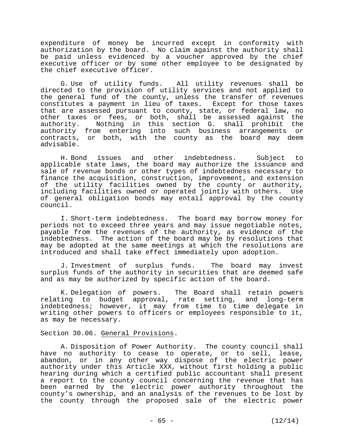expenditure of money be incurred except in conformity with authorization by the board. No claim against the authority shall be paid unless evidenced by a voucher approved by the chief executive officer or by some other employee to be designated by the chief executive officer.

G. Use of utility funds. All utility revenues shall be directed to the provision of utility services and not applied to the general fund of the county, unless the transfer of revenues constitutes a payment in lieu of taxes. Except for those taxes that are assessed pursuant to county, state, or federal law, no other taxes or fees, or both, shall be assessed against the authority. Nothing in this section G. shall prohibit the authority from entering into such business arrangements or contracts, or both, with the county as the board may deem advisable.

H. Bond issues and other indebtedness. Subject to applicable state laws, the board may authorize the issuance and sale of revenue bonds or other types of indebtedness necessary to finance the acquisition, construction, improvement, and extension of the utility facilities owned by the county or authority, including facilities owned or operated jointly with others. Use of general obligation bonds may entail approval by the county council.

I. Short-term indebtedness. The board may borrow money for periods not to exceed three years and may issue negotiable notes, payable from the revenues of the authority, as evidence of the indebtedness. The action of the board may be by resolutions that may be adopted at the same meetings at which the resolutions are introduced and shall take effect immediately upon adoption.

J. Investment of surplus funds. The board may invest surplus funds of the authority in securities that are deemed safe and as may be authorized by specific action of the board.

K. Delegation of powers. The Board shall retain powers relating to budget approval, rate setting, and long-term indebtedness; however, it may from time to time delegate in writing other powers to officers or employees responsible to it, as may be necessary.

## Section 30.06. General Provisions.

A. Disposition of Power Authority. The county council shall have no authority to cease to operate, or to sell, lease, abandon, or in any other way dispose of the electric power authority under this Article XXX, without first holding a public hearing during which a certified public accountant shall present a report to the county council concerning the revenue that has been earned by the electric power authority throughout the county's ownership, and an analysis of the revenues to be lost by the county through the proposed sale of the electric power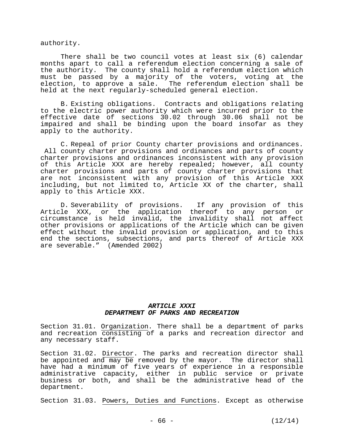authority.

There shall be two council votes at least six (6) calendar months apart to call a referendum election concerning a sale of the authority. The county shall hold a referendum election which must be passed by a majority of the voters, voting at the election, to approve a sale. The referendum election shall be held at the next regularly-scheduled general election.

B. Existing obligations. Contracts and obligations relating to the electric power authority which were incurred prior to the effective date of sections 30.02 through 30.06 shall not be impaired and shall be binding upon the board insofar as they apply to the authority.

C. Repeal of prior County charter provisions and ordinances. All county charter provisions and ordinances and parts of county charter provisions and ordinances inconsistent with any provision of this Article XXX are hereby repealed; however, all county charter provisions and parts of county charter provisions that are not inconsistent with any provision of this Article XXX including, but not limited to, Article XX of the charter, shall apply to this Article XXX.

D. Severability of provisions. If any provision of this Article XXX, or the application thereof to any person or circumstance is held invalid, the invalidity shall not affect other provisions or applications of the Article which can be given effect without the invalid provision or application, and to this end the sections, subsections, and parts thereof of Article XXX are severable." (Amended 2002)

## *ARTICLE XXXI DEPARTMENT OF PARKS AND RECREATION*

Section 31.01. Organization. There shall be a department of parks and recreation consisting of a parks and recreation director and any necessary staff.

Section 31.02. Director. The parks and recreation director shall be appointed and may be removed by the mayor. The director shall have had a minimum of five years of experience in a responsible administrative capacity, either in public service or private business or both, and shall be the administrative head of the department.

Section 31.03. Powers, Duties and Functions. Except as otherwise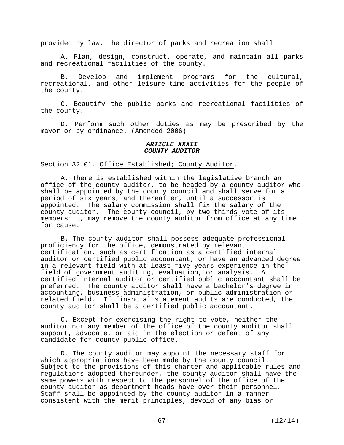provided by law, the director of parks and recreation shall:

 A. Plan, design, construct, operate, and maintain all parks and recreational facilities of the county.

 B. Develop and implement programs for the cultural, recreational, and other leisure-time activities for the people of the county.

 C. Beautify the public parks and recreational facilities of the county.

 D. Perform such other duties as may be prescribed by the mayor or by ordinance. (Amended 2006)

### *ARTICLE XXXII COUNTY AUDITOR*

Section 32.01. Office Established; County Auditor.

 A. There is established within the legislative branch an office of the county auditor, to be headed by a county auditor who shall be appointed by the county council and shall serve for a period of six years, and thereafter, until a successor is appointed. The salary commission shall fix the salary of the county auditor. The county council, by two-thirds vote of its membership, may remove the county auditor from office at any time for cause.

 B. The county auditor shall possess adequate professional proficiency for the office, demonstrated by relevant certification, such as certification as a certified internal auditor or certified public accountant, or have an advanced degree in a relevant field with at least five years experience in the field of government auditing, evaluation, or analysis. A certified internal auditor or certified public accountant shall be preferred. The county auditor shall have a bachelor's degree in accounting, business administration, or public administration or related field. If financial statement audits are conducted, the county auditor shall be a certified public accountant.

 C. Except for exercising the right to vote, neither the auditor nor any member of the office of the county auditor shall support, advocate, or aid in the election or defeat of any candidate for county public office.

 D. The county auditor may appoint the necessary staff for which appropriations have been made by the county council. Subject to the provisions of this charter and applicable rules and regulations adopted thereunder, the county auditor shall have the same powers with respect to the personnel of the office of the county auditor as department heads have over their personnel. Staff shall be appointed by the county auditor in a manner consistent with the merit principles, devoid of any bias or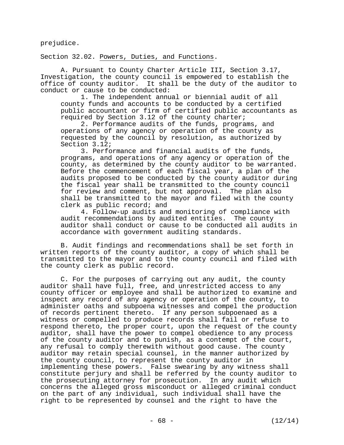prejudice.

Section 32.02. Powers, Duties, and Functions.

 A. Pursuant to County Charter Article III, Section 3.17, Investigation, the county council is empowered to establish the office of county auditor. It shall be the duty of the auditor to conduct or cause to be conducted:

 1. The independent annual or biennial audit of all county funds and accounts to be conducted by a certified public accountant or firm of certified public accountants as required by Section 3.12 of the county charter;

 2. Performance audits of the funds, programs, and operations of any agency or operation of the county as requested by the council by resolution, as authorized by Section 3.12;

 3. Performance and financial audits of the funds, programs, and operations of any agency or operation of the county, as determined by the county auditor to be warranted. Before the commencement of each fiscal year, a plan of the audits proposed to be conducted by the county auditor during the fiscal year shall be transmitted to the county council for review and comment, but not approval. The plan also shall be transmitted to the mayor and filed with the county clerk as public record; and

 4. Follow-up audits and monitoring of compliance with audit recommendations by audited entities. The county auditor shall conduct or cause to be conducted all audits in accordance with government auditing standards.

 B. Audit findings and recommendations shall be set forth in written reports of the county auditor, a copy of which shall be transmitted to the mayor and to the county council and filed with the county clerk as public record.

 C. For the purposes of carrying out any audit, the county auditor shall have full, free, and unrestricted access to any county officer or employee and shall be authorized to examine and inspect any record of any agency or operation of the county, to administer oaths and subpoena witnesses and compel the production of records pertinent thereto. If any person subpoenaed as a witness or compelled to produce records shall fail or refuse to respond thereto, the proper court, upon the request of the county auditor, shall have the power to compel obedience to any process of the county auditor and to punish, as a contempt of the court, any refusal to comply therewith without good cause. The county auditor may retain special counsel, in the manner authorized by the county council, to represent the county auditor in implementing these powers. False swearing by any witness shall constitute perjury and shall be referred by the county auditor to the prosecuting attorney for prosecution. In any audit which concerns the alleged gross misconduct or alleged criminal conduct on the part of any individual, such individual shall have the right to be represented by counsel and the right to have the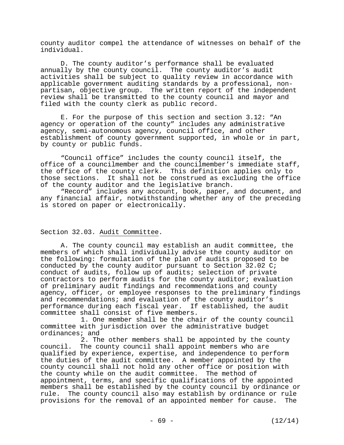county auditor compel the attendance of witnesses on behalf of the individual.

 D. The county auditor's performance shall be evaluated annually by the county council. The county auditor's audit activities shall be subject to quality review in accordance with applicable government auditing standards by a professional, nonpartisan, objective group. The written report of the independent review shall be transmitted to the county council and mayor and filed with the county clerk as public record.

 E. For the purpose of this section and section 3.12: "An agency or operation of the county" includes any administrative agency, semi-autonomous agency, council office, and other establishment of county government supported, in whole or in part, by county or public funds.

 "Council office" includes the county council itself, the office of a councilmember and the councilmember's immediate staff, the office of the county clerk. This definition applies only to those sections. It shall not be construed as excluding the office of the county auditor and the legislative branch.

 "Record" includes any account, book, paper, and document, and any financial affair, notwithstanding whether any of the preceding is stored on paper or electronically.

# Section 32.03. Audit Committee.

 A. The county council may establish an audit committee, the members of which shall individually advise the county auditor on the following: formulation of the plan of audits proposed to be conducted by the county auditor pursuant to Section 32.02 C; conduct of audits, follow up of audits; selection of private contractors to perform audits for the county auditor; evaluation of preliminary audit findings and recommendations and county agency, officer, or employee responses to the preliminary findings and recommendations; and evaluation of the county auditor's performance during each fiscal year. If established, the audit committee shall consist of five members.

 1. One member shall be the chair of the county council committee with jurisdiction over the administrative budget ordinances; and

 2. The other members shall be appointed by the county council. The county council shall appoint members who are qualified by experience, expertise, and independence to perform the duties of the audit committee. A member appointed by the county council shall not hold any other office or position with the county while on the audit committee. The method of appointment, terms, and specific qualifications of the appointed members shall be established by the county council by ordinance or rule. The county council also may establish by ordinance or rule provisions for the removal of an appointed member for cause. The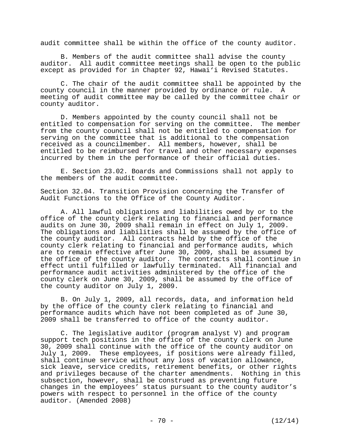audit committee shall be within the office of the county auditor.

 B. Members of the audit committee shall advise the county auditor. All audit committee meetings shall be open to the public except as provided for in Chapter 92, Hawai'i Revised Statutes.

 C. The chair of the audit committee shall be appointed by the county council in the manner provided by ordinance or rule. A meeting of audit committee may be called by the committee chair or county auditor.

 D. Members appointed by the county council shall not be entitled to compensation for serving on the committee. The member from the county council shall not be entitled to compensation for serving on the committee that is additional to the compensation received as a councilmember. All members, however, shall be entitled to be reimbursed for travel and other necessary expenses incurred by them in the performance of their official duties.

 E. Section 23.02. Boards and Commissions shall not apply to the members of the audit committee.

Section 32.04. Transition Provision concerning the Transfer of Audit Functions to the Office of the County Auditor.

 A. All lawful obligations and liabilities owed by or to the office of the county clerk relating to financial and performance audits on June 30, 2009 shall remain in effect on July 1, 2009. The obligations and liabilities shall be assumed by the office of the county auditor. All contracts held by the office of the county clerk relating to financial and performance audits, which are to remain effective after June 30, 2009, shall be assumed by the office of the county auditor. The contracts shall continue in effect until fulfilled or lawfully terminated. All financial and performance audit activities administered by the office of the county clerk on June 30, 2009, shall be assumed by the office of the county auditor on July 1, 2009.

 B. On July 1, 2009, all records, data, and information held by the office of the county clerk relating to financial and performance audits which have not been completed as of June 30, 2009 shall be transferred to office of the county auditor.

 C. The legislative auditor (program analyst V) and program support tech positions in the office of the county clerk on June 30, 2009 shall continue with the office of the county auditor on July 1, 2009. These employees, if positions were already filled, shall continue service without any loss of vacation allowance, sick leave, service credits, retirement benefits, or other rights and privileges because of the charter amendments. Nothing in this subsection, however, shall be construed as preventing future changes in the employees' status pursuant to the county auditor's powers with respect to personnel in the office of the county auditor. (Amended 2008)